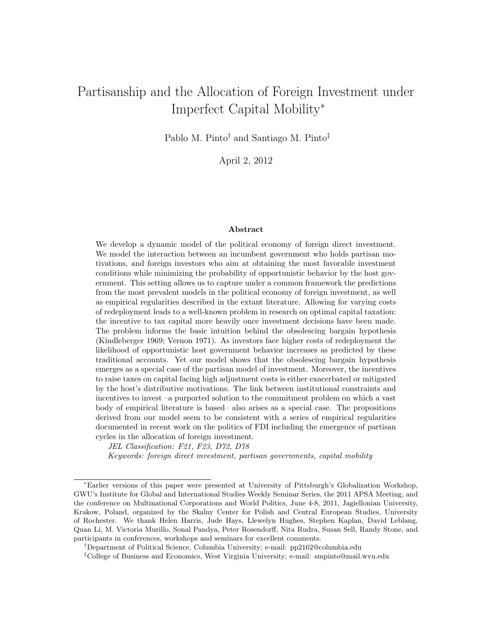# Partisanship and the Allocation of Foreign Investment under Imperfect Capital Mobility<sup>∗</sup>

Pablo M. Pinto† and Santiago M. Pinto‡

April 2, 2012

#### Abstract

We develop a dynamic model of the political economy of foreign direct investment. We model the interaction between an incumbent government who holds partisan motivations, and foreign investors who aim at obtaining the most favorable investment conditions while minimizing the probability of opportunistic behavior by the host government. This setting allows us to capture under a common framework the predictions from the most prevalent models in the political economy of foreign investment, as well as empirical regularities described in the extant literature. Allowing for varying costs of redeployment leads to a well-known problem in research on optimal capital taxation: the incentive to tax capital more heavily once investment decisions have been made. The problem informs the basic intuition behind the obsolescing bargain hypothesis (Kindleberger 1969; Vernon 1971). As investors face higher costs of redeployment the likelihood of opportunistic host government behavior increases as predicted by these traditional accounts. Yet our model shows that the obsolescing bargain hypothesis emerges as a special case of the partisan model of investment. Moreover, the incentives to raise taxes on capital facing high adjustment costs is either exacerbated or mitigated by the host's distributive motivations. The link between institutional constraints and incentives to invest –a purported solution to the commitment problem on which a vast body of empirical literature is based– also arises as a special case. The propositions derived from our model seem to be consistent with a series of empirical regularities documented in recent work on the politics of FDI including the emergence of partisan cycles in the allocation of foreign investment.

JEL Classification: F21, F23, D72, D78

Keywords: foreign direct investment, partisan governments, capital mobility

<sup>∗</sup>Earlier versions of this paper were presented at University of Pittsburgh's Globalization Workshop, GWU's Institute for Global and International Studies Weekly Seminar Series, the 2011 APSA Meeting, and the conference on Multinational Corporations and World Politics, June 4-8, 2011, Jagiellonian University, Krakow, Poland, organized by the Skalny Center for Polish and Central European Studies, University of Rochester. We thank Helen Harris, Jude Hays, Llewelyn Hughes, Stephen Kaplan, David Leblang, Quan Li, M. Victoria Murillo, Sonal Pandya, Peter Rosendorff, Nita Rudra, Susan Sell, Randy Stone, and participants in conferences, workshops and seminars for excellent comments.

<sup>†</sup>Department of Political Science, Columbia University; e-mail: pp2162@columbia.edu

<sup>‡</sup>College of Business and Economics, West Virginia University; e-mail: smpinto@mail.wvu.edu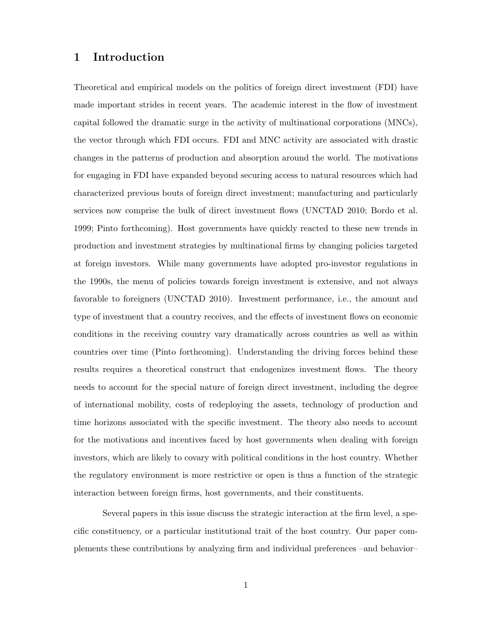# 1 Introduction

Theoretical and empirical models on the politics of foreign direct investment (FDI) have made important strides in recent years. The academic interest in the flow of investment capital followed the dramatic surge in the activity of multinational corporations (MNCs), the vector through which FDI occurs. FDI and MNC activity are associated with drastic changes in the patterns of production and absorption around the world. The motivations for engaging in FDI have expanded beyond securing access to natural resources which had characterized previous bouts of foreign direct investment; manufacturing and particularly services now comprise the bulk of direct investment flows (UNCTAD 2010; Bordo et al. 1999; Pinto forthcoming). Host governments have quickly reacted to these new trends in production and investment strategies by multinational firms by changing policies targeted at foreign investors. While many governments have adopted pro-investor regulations in the 1990s, the menu of policies towards foreign investment is extensive, and not always favorable to foreigners (UNCTAD 2010). Investment performance, i.e., the amount and type of investment that a country receives, and the effects of investment flows on economic conditions in the receiving country vary dramatically across countries as well as within countries over time (Pinto forthcoming). Understanding the driving forces behind these results requires a theoretical construct that endogenizes investment flows. The theory needs to account for the special nature of foreign direct investment, including the degree of international mobility, costs of redeploying the assets, technology of production and time horizons associated with the specific investment. The theory also needs to account for the motivations and incentives faced by host governments when dealing with foreign investors, which are likely to covary with political conditions in the host country. Whether the regulatory environment is more restrictive or open is thus a function of the strategic interaction between foreign firms, host governments, and their constituents.

Several papers in this issue discuss the strategic interaction at the firm level, a specific constituency, or a particular institutional trait of the host country. Our paper complements these contributions by analyzing firm and individual preferences –and behavior–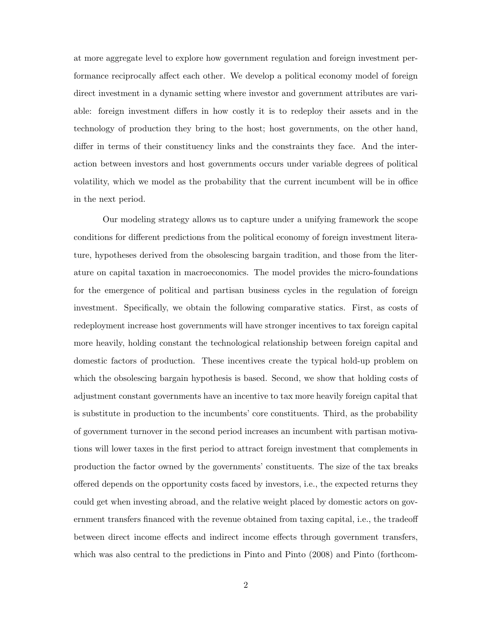at more aggregate level to explore how government regulation and foreign investment performance reciprocally affect each other. We develop a political economy model of foreign direct investment in a dynamic setting where investor and government attributes are variable: foreign investment differs in how costly it is to redeploy their assets and in the technology of production they bring to the host; host governments, on the other hand, differ in terms of their constituency links and the constraints they face. And the interaction between investors and host governments occurs under variable degrees of political volatility, which we model as the probability that the current incumbent will be in office in the next period.

Our modeling strategy allows us to capture under a unifying framework the scope conditions for different predictions from the political economy of foreign investment literature, hypotheses derived from the obsolescing bargain tradition, and those from the literature on capital taxation in macroeconomics. The model provides the micro-foundations for the emergence of political and partisan business cycles in the regulation of foreign investment. Specifically, we obtain the following comparative statics. First, as costs of redeployment increase host governments will have stronger incentives to tax foreign capital more heavily, holding constant the technological relationship between foreign capital and domestic factors of production. These incentives create the typical hold-up problem on which the obsolescing bargain hypothesis is based. Second, we show that holding costs of adjustment constant governments have an incentive to tax more heavily foreign capital that is substitute in production to the incumbents' core constituents. Third, as the probability of government turnover in the second period increases an incumbent with partisan motivations will lower taxes in the first period to attract foreign investment that complements in production the factor owned by the governments' constituents. The size of the tax breaks offered depends on the opportunity costs faced by investors, i.e., the expected returns they could get when investing abroad, and the relative weight placed by domestic actors on government transfers financed with the revenue obtained from taxing capital, i.e., the tradeoff between direct income effects and indirect income effects through government transfers, which was also central to the predictions in Pinto and Pinto (2008) and Pinto (forthcom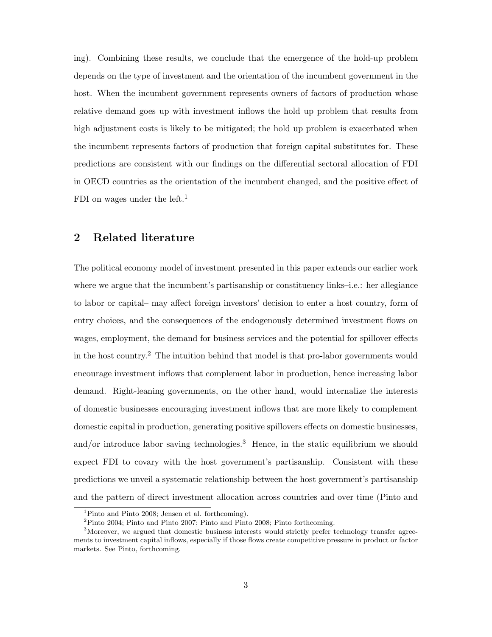ing). Combining these results, we conclude that the emergence of the hold-up problem depends on the type of investment and the orientation of the incumbent government in the host. When the incumbent government represents owners of factors of production whose relative demand goes up with investment inflows the hold up problem that results from high adjustment costs is likely to be mitigated; the hold up problem is exacerbated when the incumbent represents factors of production that foreign capital substitutes for. These predictions are consistent with our findings on the differential sectoral allocation of FDI in OECD countries as the orientation of the incumbent changed, and the positive effect of FDI on wages under the left.<sup>1</sup>

# 2 Related literature

The political economy model of investment presented in this paper extends our earlier work where we argue that the incumbent's partisanship or constituency links–i.e.: her allegiance to labor or capital– may affect foreign investors' decision to enter a host country, form of entry choices, and the consequences of the endogenously determined investment flows on wages, employment, the demand for business services and the potential for spillover effects in the host country.<sup>2</sup> The intuition behind that model is that pro-labor governments would encourage investment inflows that complement labor in production, hence increasing labor demand. Right-leaning governments, on the other hand, would internalize the interests of domestic businesses encouraging investment inflows that are more likely to complement domestic capital in production, generating positive spillovers effects on domestic businesses, and/or introduce labor saving technologies.<sup>3</sup> Hence, in the static equilibrium we should expect FDI to covary with the host government's partisanship. Consistent with these predictions we unveil a systematic relationship between the host government's partisanship and the pattern of direct investment allocation across countries and over time (Pinto and

<sup>&</sup>lt;sup>1</sup>Pinto and Pinto 2008; Jensen et al. forthcoming).

<sup>2</sup>Pinto 2004; Pinto and Pinto 2007; Pinto and Pinto 2008; Pinto forthcoming.

<sup>&</sup>lt;sup>3</sup>Moreover, we argued that domestic business interests would strictly prefer technology transfer agreements to investment capital inflows, especially if those flows create competitive pressure in product or factor markets. See Pinto, forthcoming.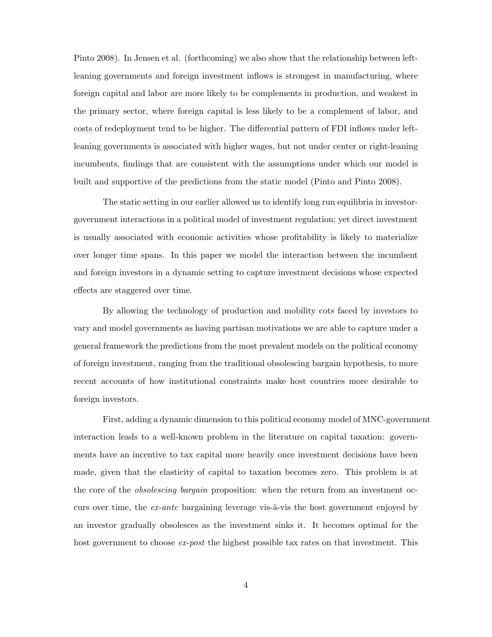Pinto 2008). In Jensen et al. (forthcoming) we also show that the relationship between leftleaning governments and foreign investment inflows is strongest in manufacturing, where foreign capital and labor are more likely to be complements in production, and weakest in the primary sector, where foreign capital is less likely to be a complement of labor, and costs of redeployment tend to be higher. The differential pattern of FDI inflows under leftleaning governments is associated with higher wages, but not under center or right-leaning incumbents, findings that are consistent with the assumptions under which our model is built and supportive of the predictions from the static model (Pinto and Pinto 2008).

The static setting in our earlier allowed us to identify long run equilibria in investorgovernment interactions in a political model of investment regulation; yet direct investment is usually associated with economic activities whose profitability is likely to materialize over longer time spans. In this paper we model the interaction between the incumbent and foreign investors in a dynamic setting to capture investment decisions whose expected effects are staggered over time.

By allowing the technology of production and mobility cots faced by investors to vary and model governments as having partisan motivations we are able to capture under a general framework the predictions from the most prevalent models on the political economy of foreign investment, ranging from the traditional obsolescing bargain hypothesis, to more recent accounts of how institutional constraints make host countries more desirable to foreign investors.

First, adding a dynamic dimension to this political economy model of MNC-government interaction leads to a well-known problem in the literature on capital taxation: governments have an incentive to tax capital more heavily once investment decisions have been made, given that the elasticity of capital to taxation becomes zero. This problem is at the core of the *obsolescing bargain* proposition: when the return from an investment occurs over time, the  $ex$ -ante bargaining leverage vis- $\grave{a}$ -vis the host government enjoyed by an investor gradually obsolesces as the investment sinks it. It becomes optimal for the host government to choose  $ex$ -post the highest possible tax rates on that investment. This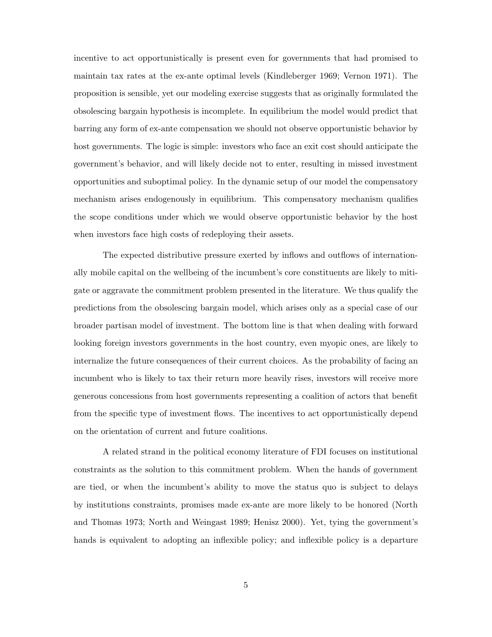incentive to act opportunistically is present even for governments that had promised to maintain tax rates at the ex-ante optimal levels (Kindleberger 1969; Vernon 1971). The proposition is sensible, yet our modeling exercise suggests that as originally formulated the obsolescing bargain hypothesis is incomplete. In equilibrium the model would predict that barring any form of ex-ante compensation we should not observe opportunistic behavior by host governments. The logic is simple: investors who face an exit cost should anticipate the government's behavior, and will likely decide not to enter, resulting in missed investment opportunities and suboptimal policy. In the dynamic setup of our model the compensatory mechanism arises endogenously in equilibrium. This compensatory mechanism qualifies the scope conditions under which we would observe opportunistic behavior by the host when investors face high costs of redeploying their assets.

The expected distributive pressure exerted by inflows and outflows of internationally mobile capital on the wellbeing of the incumbent's core constituents are likely to mitigate or aggravate the commitment problem presented in the literature. We thus qualify the predictions from the obsolescing bargain model, which arises only as a special case of our broader partisan model of investment. The bottom line is that when dealing with forward looking foreign investors governments in the host country, even myopic ones, are likely to internalize the future consequences of their current choices. As the probability of facing an incumbent who is likely to tax their return more heavily rises, investors will receive more generous concessions from host governments representing a coalition of actors that benefit from the specific type of investment flows. The incentives to act opportunistically depend on the orientation of current and future coalitions.

A related strand in the political economy literature of FDI focuses on institutional constraints as the solution to this commitment problem. When the hands of government are tied, or when the incumbent's ability to move the status quo is subject to delays by institutions constraints, promises made ex-ante are more likely to be honored (North and Thomas 1973; North and Weingast 1989; Henisz 2000). Yet, tying the government's hands is equivalent to adopting an inflexible policy; and inflexible policy is a departure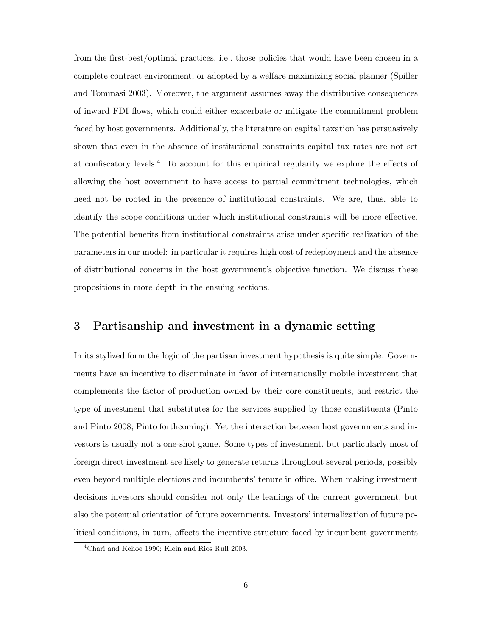from the first-best/optimal practices, i.e., those policies that would have been chosen in a complete contract environment, or adopted by a welfare maximizing social planner (Spiller and Tommasi 2003). Moreover, the argument assumes away the distributive consequences of inward FDI flows, which could either exacerbate or mitigate the commitment problem faced by host governments. Additionally, the literature on capital taxation has persuasively shown that even in the absence of institutional constraints capital tax rates are not set at confiscatory levels.<sup>4</sup> To account for this empirical regularity we explore the effects of allowing the host government to have access to partial commitment technologies, which need not be rooted in the presence of institutional constraints. We are, thus, able to identify the scope conditions under which institutional constraints will be more effective. The potential benefits from institutional constraints arise under specific realization of the parameters in our model: in particular it requires high cost of redeployment and the absence of distributional concerns in the host government's objective function. We discuss these propositions in more depth in the ensuing sections.

## 3 Partisanship and investment in a dynamic setting

In its stylized form the logic of the partisan investment hypothesis is quite simple. Governments have an incentive to discriminate in favor of internationally mobile investment that complements the factor of production owned by their core constituents, and restrict the type of investment that substitutes for the services supplied by those constituents (Pinto and Pinto 2008; Pinto forthcoming). Yet the interaction between host governments and investors is usually not a one-shot game. Some types of investment, but particularly most of foreign direct investment are likely to generate returns throughout several periods, possibly even beyond multiple elections and incumbents' tenure in office. When making investment decisions investors should consider not only the leanings of the current government, but also the potential orientation of future governments. Investors' internalization of future political conditions, in turn, affects the incentive structure faced by incumbent governments

<sup>4</sup>Chari and Kehoe 1990; Klein and Rios Rull 2003.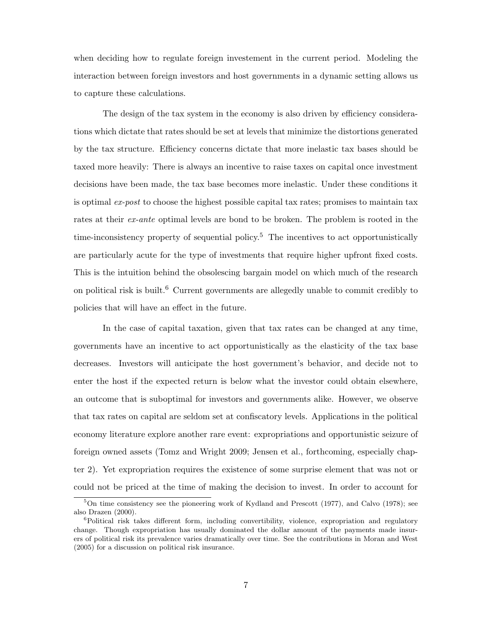when deciding how to regulate foreign investement in the current period. Modeling the interaction between foreign investors and host governments in a dynamic setting allows us to capture these calculations.

The design of the tax system in the economy is also driven by efficiency considerations which dictate that rates should be set at levels that minimize the distortions generated by the tax structure. Efficiency concerns dictate that more inelastic tax bases should be taxed more heavily: There is always an incentive to raise taxes on capital once investment decisions have been made, the tax base becomes more inelastic. Under these conditions it is optimal ex-post to choose the highest possible capital tax rates; promises to maintain tax rates at their *ex-ante* optimal levels are bond to be broken. The problem is rooted in the time-inconsistency property of sequential policy.<sup>5</sup> The incentives to act opportunistically are particularly acute for the type of investments that require higher upfront fixed costs. This is the intuition behind the obsolescing bargain model on which much of the research on political risk is built.<sup>6</sup> Current governments are allegedly unable to commit credibly to policies that will have an effect in the future.

In the case of capital taxation, given that tax rates can be changed at any time, governments have an incentive to act opportunistically as the elasticity of the tax base decreases. Investors will anticipate the host government's behavior, and decide not to enter the host if the expected return is below what the investor could obtain elsewhere, an outcome that is suboptimal for investors and governments alike. However, we observe that tax rates on capital are seldom set at confiscatory levels. Applications in the political economy literature explore another rare event: expropriations and opportunistic seizure of foreign owned assets (Tomz and Wright 2009; Jensen et al., forthcoming, especially chapter 2). Yet expropriation requires the existence of some surprise element that was not or could not be priced at the time of making the decision to invest. In order to account for

 $5$ On time consistency see the pioneering work of Kydland and Prescott (1977), and Calvo (1978); see also Drazen (2000).

<sup>&</sup>lt;sup>6</sup>Political risk takes different form, including convertibility, violence, expropriation and regulatory change. Though expropriation has usually dominated the dollar amount of the payments made insurers of political risk its prevalence varies dramatically over time. See the contributions in Moran and West (2005) for a discussion on political risk insurance.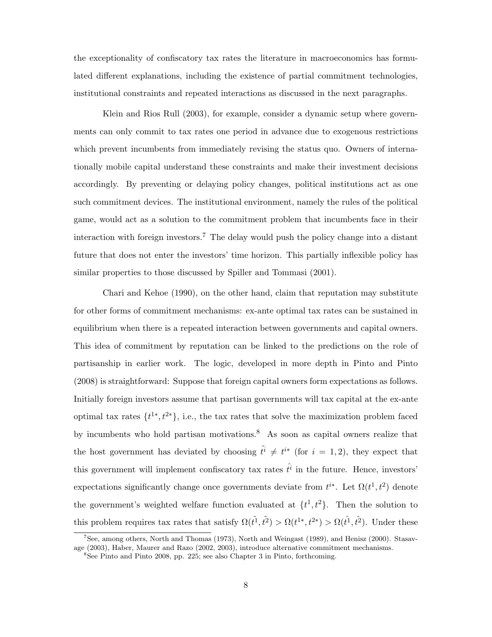the exceptionality of confiscatory tax rates the literature in macroeconomics has formulated different explanations, including the existence of partial commitment technologies, institutional constraints and repeated interactions as discussed in the next paragraphs.

Klein and Rios Rull (2003), for example, consider a dynamic setup where governments can only commit to tax rates one period in advance due to exogenous restrictions which prevent incumbents from immediately revising the status quo. Owners of internationally mobile capital understand these constraints and make their investment decisions accordingly. By preventing or delaying policy changes, political institutions act as one such commitment devices. The institutional environment, namely the rules of the political game, would act as a solution to the commitment problem that incumbents face in their interaction with foreign investors.<sup>7</sup> The delay would push the policy change into a distant future that does not enter the investors' time horizon. This partially inflexible policy has similar properties to those discussed by Spiller and Tommasi (2001).

Chari and Kehoe (1990), on the other hand, claim that reputation may substitute for other forms of commitment mechanisms: ex-ante optimal tax rates can be sustained in equilibrium when there is a repeated interaction between governments and capital owners. This idea of commitment by reputation can be linked to the predictions on the role of partisanship in earlier work. The logic, developed in more depth in Pinto and Pinto (2008) is straightforward: Suppose that foreign capital owners form expectations as follows. Initially foreign investors assume that partisan governments will tax capital at the ex-ante optimal tax rates  $\{t^{1*}, t^{2*}\}$ , i.e., the tax rates that solve the maximization problem faced by incumbents who hold partisan motivations.<sup>8</sup> As soon as capital owners realize that the host government has deviated by choosing  $\tilde{t}^i \neq t^{i*}$  (for  $i = 1, 2$ ), they expect that this government will implement confiscatory tax rates  $\hat{t}^i$  in the future. Hence, investors' expectations significantly change once governments deviate from  $t^{i*}$ . Let  $\Omega(t^1, t^2)$  denote the government's weighted welfare function evaluated at  $\{t^1, t^2\}$ . Then the solution to this problem requires tax rates that satisfy  $\Omega(\tilde{t}^1, \tilde{t}^2) > \Omega(t^{1*}, t^{2*}) > \Omega(\tilde{t}^1, \tilde{t}^2)$ . Under these

<sup>7</sup>See, among others, North and Thomas (1973), North and Weingast (1989), and Henisz (2000). Stasavage (2003), Haber, Maurer and Razo (2002, 2003), introduce alternative commitment mechanisms.

<sup>8</sup>See Pinto and Pinto 2008, pp. 225; see also Chapter 3 in Pinto, forthcoming.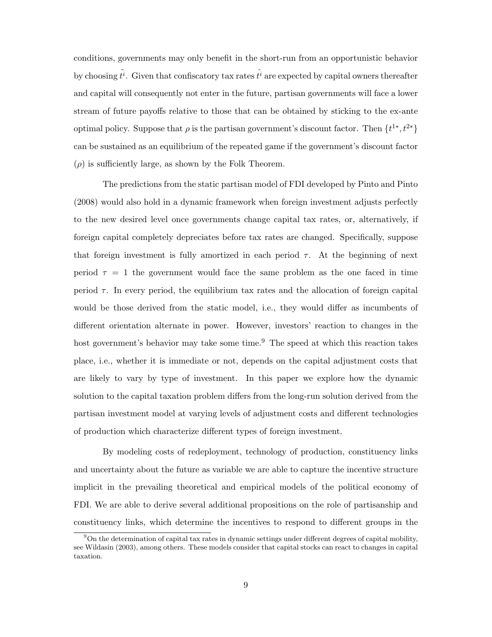conditions, governments may only benefit in the short-run from an opportunistic behavior by choosing  $\tilde{t}^i$ . Given that confiscatory tax rates  $\hat{t}^i$  are expected by capital owners thereafter and capital will consequently not enter in the future, partisan governments will face a lower stream of future payoffs relative to those that can be obtained by sticking to the ex-ante optimal policy. Suppose that  $\rho$  is the partisan government's discount factor. Then  $\{t^{1*}, t^{2*}\}$ can be sustained as an equilibrium of the repeated game if the government's discount factor  $(\rho)$  is sufficiently large, as shown by the Folk Theorem.

The predictions from the static partisan model of FDI developed by Pinto and Pinto (2008) would also hold in a dynamic framework when foreign investment adjusts perfectly to the new desired level once governments change capital tax rates, or, alternatively, if foreign capital completely depreciates before tax rates are changed. Specifically, suppose that foreign investment is fully amortized in each period  $\tau$ . At the beginning of next period  $\tau = 1$  the government would face the same problem as the one faced in time period  $\tau$ . In every period, the equilibrium tax rates and the allocation of foreign capital would be those derived from the static model, i.e., they would differ as incumbents of different orientation alternate in power. However, investors' reaction to changes in the host government's behavior may take some time.<sup>9</sup> The speed at which this reaction takes place, i.e., whether it is immediate or not, depends on the capital adjustment costs that are likely to vary by type of investment. In this paper we explore how the dynamic solution to the capital taxation problem differs from the long-run solution derived from the partisan investment model at varying levels of adjustment costs and different technologies of production which characterize different types of foreign investment.

By modeling costs of redeployment, technology of production, constituency links and uncertainty about the future as variable we are able to capture the incentive structure implicit in the prevailing theoretical and empirical models of the political economy of FDI. We are able to derive several additional propositions on the role of partisanship and constituency links, which determine the incentives to respond to different groups in the

 $9$ On the determination of capital tax rates in dynamic settings under different degrees of capital mobility, see Wildasin (2003), among others. These models consider that capital stocks can react to changes in capital taxation.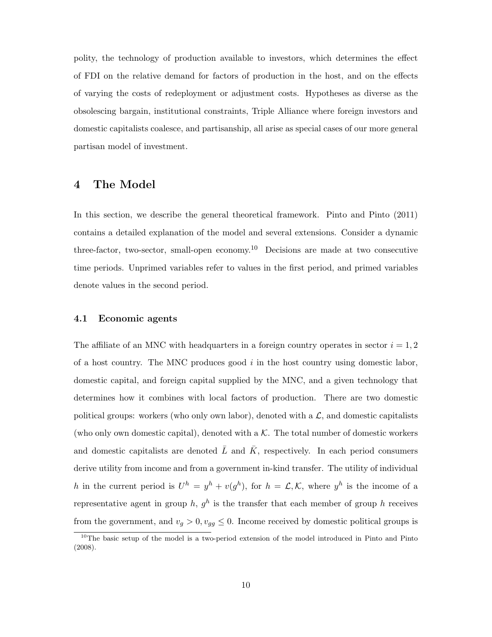polity, the technology of production available to investors, which determines the effect of FDI on the relative demand for factors of production in the host, and on the effects of varying the costs of redeployment or adjustment costs. Hypotheses as diverse as the obsolescing bargain, institutional constraints, Triple Alliance where foreign investors and domestic capitalists coalesce, and partisanship, all arise as special cases of our more general partisan model of investment.

# 4 The Model

In this section, we describe the general theoretical framework. Pinto and Pinto (2011) contains a detailed explanation of the model and several extensions. Consider a dynamic three-factor, two-sector, small-open economy.<sup>10</sup> Decisions are made at two consecutive time periods. Unprimed variables refer to values in the first period, and primed variables denote values in the second period.

#### 4.1 Economic agents

The affiliate of an MNC with headquarters in a foreign country operates in sector  $i = 1, 2$ of a host country. The MNC produces good  $i$  in the host country using domestic labor, domestic capital, and foreign capital supplied by the MNC, and a given technology that determines how it combines with local factors of production. There are two domestic political groups: workers (who only own labor), denoted with a  $\mathcal{L}$ , and domestic capitalists (who only own domestic capital), denoted with a  $K$ . The total number of domestic workers and domestic capitalists are denoted  $\overline{L}$  and  $\overline{K}$ , respectively. In each period consumers derive utility from income and from a government in-kind transfer. The utility of individual h in the current period is  $U^h = y^h + v(g^h)$ , for  $h = \mathcal{L}, \mathcal{K}$ , where  $y^h$  is the income of a representative agent in group h,  $g<sup>h</sup>$  is the transfer that each member of group h receives from the government, and  $v_g > 0$ ,  $v_{gg} \leq 0$ . Income received by domestic political groups is

<sup>&</sup>lt;sup>10</sup>The basic setup of the model is a two-period extension of the model introduced in Pinto and Pinto (2008).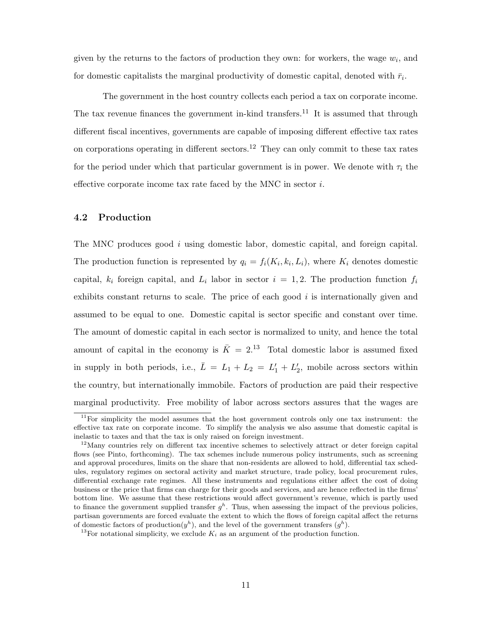given by the returns to the factors of production they own: for workers, the wage  $w_i$ , and for domestic capitalists the marginal productivity of domestic capital, denoted with  $\bar{r}_i$ .

The government in the host country collects each period a tax on corporate income. The tax revenue finances the government in-kind transfers.<sup>11</sup> It is assumed that through different fiscal incentives, governments are capable of imposing different effective tax rates on corporations operating in different sectors.<sup>12</sup> They can only commit to these tax rates for the period under which that particular government is in power. We denote with  $\tau_i$  the effective corporate income tax rate faced by the MNC in sector i.

## 4.2 Production

The MNC produces good i using domestic labor, domestic capital, and foreign capital. The production function is represented by  $q_i = f_i(K_i, k_i, L_i)$ , where  $K_i$  denotes domestic capital,  $k_i$  foreign capital, and  $L_i$  labor in sector  $i = 1, 2$ . The production function  $f_i$ exhibits constant returns to scale. The price of each good  $i$  is internationally given and assumed to be equal to one. Domestic capital is sector specific and constant over time. The amount of domestic capital in each sector is normalized to unity, and hence the total amount of capital in the economy is  $\overline{K} = 2^{13}$  Total domestic labor is assumed fixed in supply in both periods, i.e.,  $\bar{L} = L_1 + L_2 = L'_1 + L'_2$ , mobile across sectors within the country, but internationally immobile. Factors of production are paid their respective marginal productivity. Free mobility of labor across sectors assures that the wages are

<sup>11</sup>For simplicity the model assumes that the host government controls only one tax instrument: the effective tax rate on corporate income. To simplify the analysis we also assume that domestic capital is inelastic to taxes and that the tax is only raised on foreign investment.

<sup>&</sup>lt;sup>12</sup>Many countries rely on different tax incentive schemes to selectively attract or deter foreign capital flows (see Pinto, forthcoming). The tax schemes include numerous policy instruments, such as screening and approval procedures, limits on the share that non-residents are allowed to hold, differential tax schedules, regulatory regimes on sectoral activity and market structure, trade policy, local procurement rules, differential exchange rate regimes. All these instruments and regulations either affect the cost of doing business or the price that firms can charge for their goods and services, and are hence reflected in the firms' bottom line. We assume that these restrictions would affect government's revenue, which is partly used to finance the government supplied transfer  $g^h$ . Thus, when assessing the impact of the previous policies, partisan governments are forced evaluate the extent to which the flows of foreign capital affect the returns of domestic factors of production $(y^h)$ , and the level of the government transfers  $(g^h)$ .

<sup>&</sup>lt;sup>13</sup>For notational simplicity, we exclude  $K_i$  as an argument of the production function.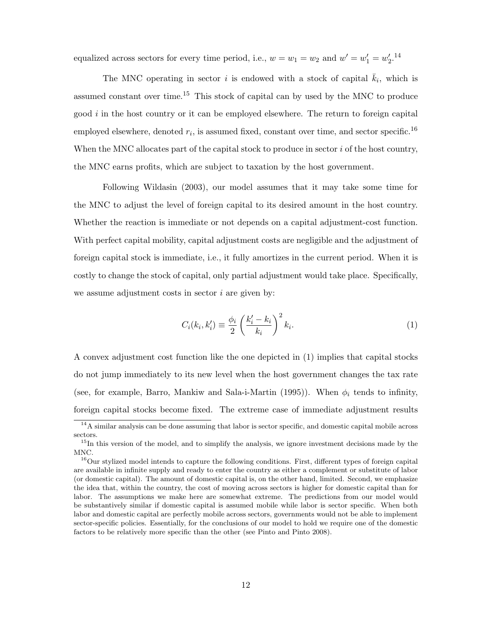equalized across sectors for every time period, i.e.,  $w = w_1 = w_2$  and  $w' = w'_1 = w'_2$ .<sup>14</sup>

The MNC operating in sector i is endowed with a stock of capital  $\overline{k}_i$ , which is assumed constant over time.<sup>15</sup> This stock of capital can by used by the MNC to produce good  $i$  in the host country or it can be employed elsewhere. The return to foreign capital employed elsewhere, denoted  $r_i$ , is assumed fixed, constant over time, and sector specific.<sup>16</sup> When the MNC allocates part of the capital stock to produce in sector  $i$  of the host country, the MNC earns profits, which are subject to taxation by the host government.

Following Wildasin (2003), our model assumes that it may take some time for the MNC to adjust the level of foreign capital to its desired amount in the host country. Whether the reaction is immediate or not depends on a capital adjustment-cost function. With perfect capital mobility, capital adjustment costs are negligible and the adjustment of foreign capital stock is immediate, i.e., it fully amortizes in the current period. When it is costly to change the stock of capital, only partial adjustment would take place. Specifically, we assume adjustment costs in sector  $i$  are given by:

$$
C_i(k_i, k'_i) \equiv \frac{\phi_i}{2} \left(\frac{k'_i - k_i}{k_i}\right)^2 k_i.
$$
 (1)

A convex adjustment cost function like the one depicted in (1) implies that capital stocks do not jump immediately to its new level when the host government changes the tax rate (see, for example, Barro, Mankiw and Sala-i-Martin (1995)). When  $\phi_i$  tends to infinity, foreign capital stocks become fixed. The extreme case of immediate adjustment results

 $14A$  similar analysis can be done assuming that labor is sector specific, and domestic capital mobile across sectors.

<sup>&</sup>lt;sup>15</sup>In this version of the model, and to simplify the analysis, we ignore investment decisions made by the MNC.

<sup>&</sup>lt;sup>16</sup>Our stylized model intends to capture the following conditions. First, different types of foreign capital are available in infinite supply and ready to enter the country as either a complement or substitute of labor (or domestic capital). The amount of domestic capital is, on the other hand, limited. Second, we emphasize the idea that, within the country, the cost of moving across sectors is higher for domestic capital than for labor. The assumptions we make here are somewhat extreme. The predictions from our model would be substantively similar if domestic capital is assumed mobile while labor is sector specific. When both labor and domestic capital are perfectly mobile across sectors, governments would not be able to implement sector-specific policies. Essentially, for the conclusions of our model to hold we require one of the domestic factors to be relatively more specific than the other (see Pinto and Pinto 2008).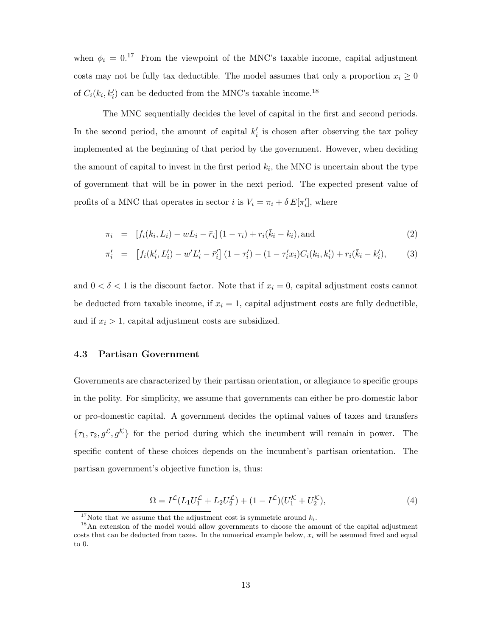when  $\phi_i = 0.17$  From the viewpoint of the MNC's taxable income, capital adjustment costs may not be fully tax deductible. The model assumes that only a proportion  $x_i \geq 0$ of  $C_i(k_i, k'_i)$  can be deducted from the MNC's taxable income.<sup>18</sup>

The MNC sequentially decides the level of capital in the first and second periods. In the second period, the amount of capital  $k_i'$  is chosen after observing the tax policy implemented at the beginning of that period by the government. However, when deciding the amount of capital to invest in the first period  $k_i$ , the MNC is uncertain about the type of government that will be in power in the next period. The expected present value of profits of a MNC that operates in sector *i* is  $V_i = \pi_i + \delta E[\pi'_i]$ , where

$$
\pi_i = [f_i(k_i, L_i) - w L_i - \bar{r}_i] (1 - \tau_i) + r_i(\bar{k}_i - k_i), \text{and}
$$
\n(2)

$$
\pi'_{i} = \left[ f_{i}(k'_{i}, L'_{i}) - w'L'_{i} - \bar{r}'_{i} \right] (1 - \tau'_{i}) - (1 - \tau'_{i}x_{i}) C_{i}(k_{i}, k'_{i}) + r_{i}(\bar{k}_{i} - k'_{i}), \tag{3}
$$

and  $0 < \delta < 1$  is the discount factor. Note that if  $x_i = 0$ , capital adjustment costs cannot be deducted from taxable income, if  $x_i = 1$ , capital adjustment costs are fully deductible, and if  $x_i > 1$ , capital adjustment costs are subsidized.

#### 4.3 Partisan Government

Governments are characterized by their partisan orientation, or allegiance to specific groups in the polity. For simplicity, we assume that governments can either be pro-domestic labor or pro-domestic capital. A government decides the optimal values of taxes and transfers  ${\lbrace \tau_1, \tau_2, g^{\mathcal{L}}, g^{\mathcal{K}} \rbrace}$  for the period during which the incumbent will remain in power. The specific content of these choices depends on the incumbent's partisan orientation. The partisan government's objective function is, thus:

$$
\Omega = I^{\mathcal{L}}(L_1 U_1^{\mathcal{L}} + L_2 U_2^{\mathcal{L}}) + (1 - I^{\mathcal{L}})(U_1^{\mathcal{K}} + U_2^{\mathcal{K}}), \tag{4}
$$

<sup>&</sup>lt;sup>17</sup>Note that we assume that the adjustment cost is symmetric around  $k_i$ .

<sup>&</sup>lt;sup>18</sup>An extension of the model would allow governments to choose the amount of the capital adjustment costs that can be deducted from taxes. In the numerical example below,  $x_i$  will be assumed fixed and equal to 0.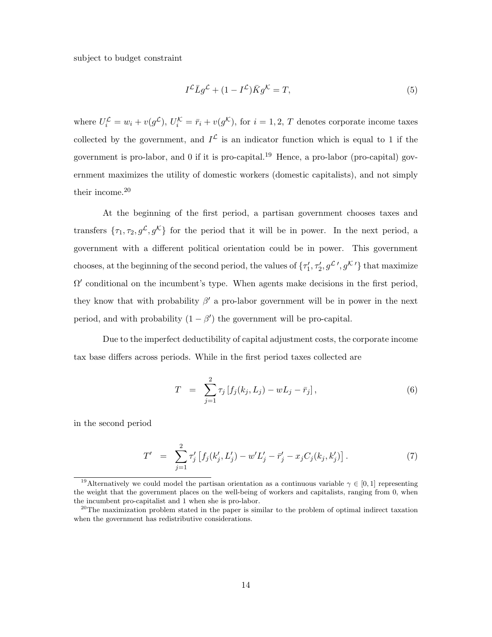subject to budget constraint

$$
I^{\mathcal{L}}\bar{L}g^{\mathcal{L}} + (1 - I^{\mathcal{L}})\bar{K}g^{\mathcal{K}} = T,
$$
\n<sup>(5)</sup>

where  $U_i^{\mathcal{L}} = w_i + v(g^{\mathcal{L}}), U_i^{\mathcal{K}} = \bar{r}_i + v(g^{\mathcal{K}}),$  for  $i = 1, 2, T$  denotes corporate income taxes collected by the government, and  $I^{\mathcal{L}}$  is an indicator function which is equal to 1 if the government is pro-labor, and  $0$  if it is pro-capital.<sup>19</sup> Hence, a pro-labor (pro-capital) government maximizes the utility of domestic workers (domestic capitalists), and not simply their income.<sup>20</sup>

At the beginning of the first period, a partisan government chooses taxes and transfers  $\{\tau_1, \tau_2, g^{\mathcal{L}}, g^{\mathcal{K}}\}$  for the period that it will be in power. In the next period, a government with a different political orientation could be in power. This government chooses, at the beginning of the second period, the values of  $\{\tau'_1, \tau'_2, g^{\mathcal{L}}', g^{\mathcal{K}'}\}\$  that maximize  $\Omega'$  conditional on the incumbent's type. When agents make decisions in the first period, they know that with probability  $\beta'$  a pro-labor government will be in power in the next period, and with probability  $(1 - \beta')$  the government will be pro-capital.

Due to the imperfect deductibility of capital adjustment costs, the corporate income tax base differs across periods. While in the first period taxes collected are

$$
T = \sum_{j=1}^{2} \tau_j \left[ f_j(k_j, L_j) - w L_j - \bar{r}_j \right], \tag{6}
$$

in the second period

$$
T' = \sum_{j=1}^{2} \tau'_j \left[ f_j(k'_j, L'_j) - w' L'_j - \bar{r}'_j - x_j C_j(k_j, k'_j) \right]. \tag{7}
$$

<sup>&</sup>lt;sup>19</sup>Alternatively we could model the partisan orientation as a continuous variable  $\gamma \in [0,1]$  representing the weight that the government places on the well-being of workers and capitalists, ranging from 0, when the incumbent pro-capitalist and 1 when she is pro-labor.

 $^{20}$ The maximization problem stated in the paper is similar to the problem of optimal indirect taxation when the government has redistributive considerations.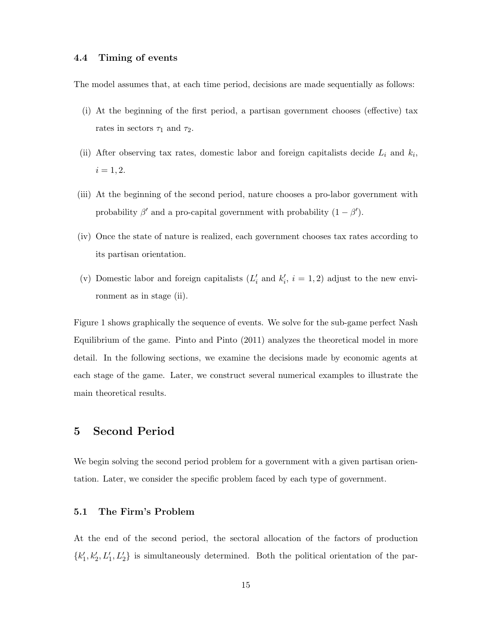## 4.4 Timing of events

The model assumes that, at each time period, decisions are made sequentially as follows:

- (i) At the beginning of the first period, a partisan government chooses (effective) tax rates in sectors  $\tau_1$  and  $\tau_2$ .
- (ii) After observing tax rates, domestic labor and foreign capitalists decide  $L_i$  and  $k_i$ ,  $i = 1, 2.$
- (iii) At the beginning of the second period, nature chooses a pro-labor government with probability  $\beta'$  and a pro-capital government with probability  $(1 - \beta')$ .
- (iv) Once the state of nature is realized, each government chooses tax rates according to its partisan orientation.
- (v) Domestic labor and foreign capitalists  $(L'_i \text{ and } k'_i, i = 1, 2)$  adjust to the new environment as in stage (ii).

Figure 1 shows graphically the sequence of events. We solve for the sub-game perfect Nash Equilibrium of the game. Pinto and Pinto (2011) analyzes the theoretical model in more detail. In the following sections, we examine the decisions made by economic agents at each stage of the game. Later, we construct several numerical examples to illustrate the main theoretical results.

## 5 Second Period

We begin solving the second period problem for a government with a given partisan orientation. Later, we consider the specific problem faced by each type of government.

#### 5.1 The Firm's Problem

At the end of the second period, the sectoral allocation of the factors of production  $\{k'_1, k'_2, L'_1, L'_2\}$  is simultaneously determined. Both the political orientation of the par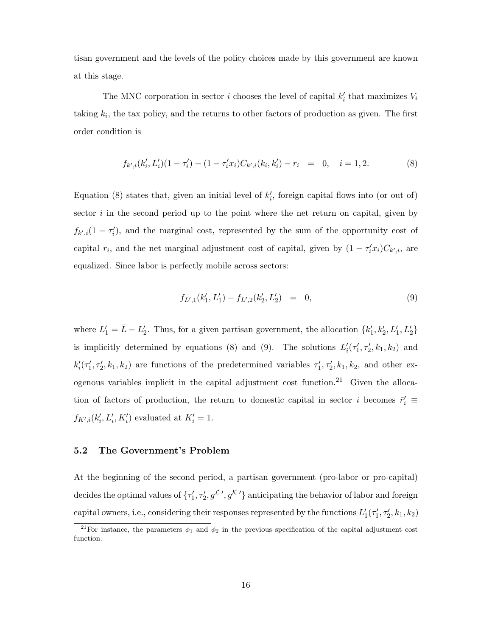tisan government and the levels of the policy choices made by this government are known at this stage.

The MNC corporation in sector *i* chooses the level of capital  $k'_i$  that maximizes  $V_i$ taking  $k_i$ , the tax policy, and the returns to other factors of production as given. The first order condition is

$$
f_{k',i}(k'_i, L'_i)(1 - \tau'_i) - (1 - \tau'_i x_i)C_{k',i}(k_i, k'_i) - r_i = 0, \quad i = 1, 2.
$$
 (8)

Equation (8) states that, given an initial level of  $k'_{i}$ , foreign capital flows into (or out of) sector  $i$  in the second period up to the point where the net return on capital, given by  $f_{k',i}(1-\tau'_i)$ , and the marginal cost, represented by the sum of the opportunity cost of capital  $r_i$ , and the net marginal adjustment cost of capital, given by  $(1 - \tau_i^{\prime} x_i)C_{k^{\prime},i}$ , are equalized. Since labor is perfectly mobile across sectors:

$$
f_{L',1}(k'_1, L'_1) - f_{L',2}(k'_2, L'_2) = 0,
$$
\n(9)

where  $L'_1 = \bar{L} - L'_2$ . Thus, for a given partisan government, the allocation  $\{k'_1, k'_2, L'_1, L'_2\}$ is implicitly determined by equations (8) and (9). The solutions  $L'_{i}(\tau'_{1}, \tau'_{2}, k_{1}, k_{2})$  and  $k'_i(\tau'_1, \tau'_2, k_1, k_2)$  are functions of the predetermined variables  $\tau'_1, \tau'_2, k_1, k_2$ , and other exogenous variables implicit in the capital adjustment cost function.<sup>21</sup> Given the allocation of factors of production, the return to domestic capital in sector i becomes  $\bar{r}'_i$  =  $f_{K',i}(k'_i, L'_i, K'_i)$  evaluated at  $K'_i = 1$ .

## 5.2 The Government's Problem

At the beginning of the second period, a partisan government (pro-labor or pro-capital) decides the optimal values of  $\{\tau'_1, \tau'_2, g\mathcal{L}', g\mathcal{K}'\}$  anticipating the behavior of labor and foreign capital owners, i.e., considering their responses represented by the functions  $L'_1(\tau'_1, \tau'_2, k_1, k_2)$ 

<sup>&</sup>lt;sup>21</sup>For instance, the parameters  $\phi_1$  and  $\phi_2$  in the previous specification of the capital adjustment cost function.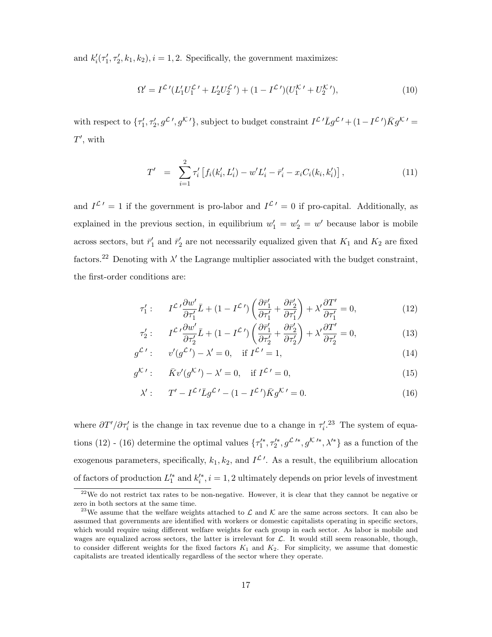and  $k'_i(\tau'_1, \tau'_2, k_1, k_2), i = 1, 2$ . Specifically, the government maximizes:

$$
\Omega' = I^{\mathcal{L}'} (L'_1 U_1^{\mathcal{L}'} + L'_2 U_2^{\mathcal{L}'}) + (1 - I^{\mathcal{L}'}) (U_1^{\mathcal{K}'} + U_2^{\mathcal{K}'})
$$
\n<sup>(10)</sup>

with respect to  $\{\tau'_1, \tau'_2, g^{\mathcal{L}}', g^{\mathcal{K}'}\}$ , subject to budget constraint  $I^{\mathcal{L}'}\overline{L}g^{\mathcal{L}'}+(1-I^{\mathcal{L}'})\overline{K}g^{\mathcal{K}'}=$  $T'$ , with

$$
T' = \sum_{i=1}^{2} \tau'_i \left[ f_i(k'_i, L'_i) - w' L'_i - \bar{r}'_i - x_i C_i(k_i, k'_i) \right], \tag{11}
$$

and  $I^{\mathcal{L}'} = 1$  if the government is pro-labor and  $I^{\mathcal{L}'} = 0$  if pro-capital. Additionally, as explained in the previous section, in equilibrium  $w'_1 = w'_2 = w'$  because labor is mobile across sectors, but  $\bar{r}'_1$  and  $\bar{r}'_2$  are not necessarily equalized given that  $K_1$  and  $K_2$  are fixed factors.<sup>22</sup> Denoting with  $\lambda'$  the Lagrange multiplier associated with the budget constraint, the first-order conditions are:

$$
\tau_1': \qquad I^{\mathcal{L}} \frac{\partial w'}{\partial \tau_1'} \bar{L} + (1 - I^{\mathcal{L}}') \left( \frac{\partial \bar{r}_1'}{\partial \tau_1'} + \frac{\partial \bar{r}_2'}{\partial \tau_1'} \right) + \lambda' \frac{\partial T'}{\partial \tau_1'} = 0, \tag{12}
$$

$$
\tau_2': \qquad I^{\mathcal{L}} \, \frac{\partial w'}{\partial \tau_2'} \bar{L} + (1 - I^{\mathcal{L}}') \left( \frac{\partial \bar{r}_1'}{\partial \tau_2'} + \frac{\partial \bar{r}_2'}{\partial \tau_2'} \right) + \lambda' \frac{\partial T'}{\partial \tau_2'} = 0,\tag{13}
$$

$$
g^{\mathcal{L}'}: \qquad v'(g^{\mathcal{L}'}) - \lambda' = 0, \quad \text{if } I^{\mathcal{L}'} = 1,\tag{14}
$$

$$
g^{\mathcal{K}\prime}: \qquad \bar{K}v'(g^{\mathcal{K}\prime}) - \lambda' = 0, \quad \text{if } I^{\mathcal{L}\prime} = 0,
$$
\n
$$
(15)
$$

$$
\lambda': \qquad T' - I^{\mathcal{L}'} \bar{L} g^{\mathcal{L}'} - (1 - I^{\mathcal{L}'}) \bar{K} g^{\mathcal{K}'} = 0. \tag{16}
$$

where  $\partial T'/\partial \tau_i'$  is the change in tax revenue due to a change in  $\tau_i'.^{23}$  The system of equations (12) - (16) determine the optimal values  $\{\tau_1^{\prime*}, \tau_2^{\prime*}, g^{\mathcal{L}^{\prime*}}, g^{\mathcal{K}^{\prime*}}, \lambda^{\prime*}\}\$ as a function of the exogenous parameters, specifically,  $k_1, k_2$ , and  $I^{\mathcal{L}}'$ . As a result, the equilibrium allocation of factors of production  $L_1^{\prime *}$  and  $k_i^{\prime *}$ ,  $i = 1, 2$  ultimately depends on prior levels of investment

 $22$ We do not restrict tax rates to be non-negative. However, it is clear that they cannot be negative or zero in both sectors at the same time.

<sup>&</sup>lt;sup>23</sup>We assume that the welfare weights attached to  $\mathcal L$  and  $\mathcal K$  are the same across sectors. It can also be assumed that governments are identified with workers or domestic capitalists operating in specific sectors, which would require using different welfare weights for each group in each sector. As labor is mobile and wages are equalized across sectors, the latter is irrelevant for  $\mathcal{L}$ . It would still seem reasonable, though, to consider different weights for the fixed factors  $K_1$  and  $K_2$ . For simplicity, we assume that domestic capitalists are treated identically regardless of the sector where they operate.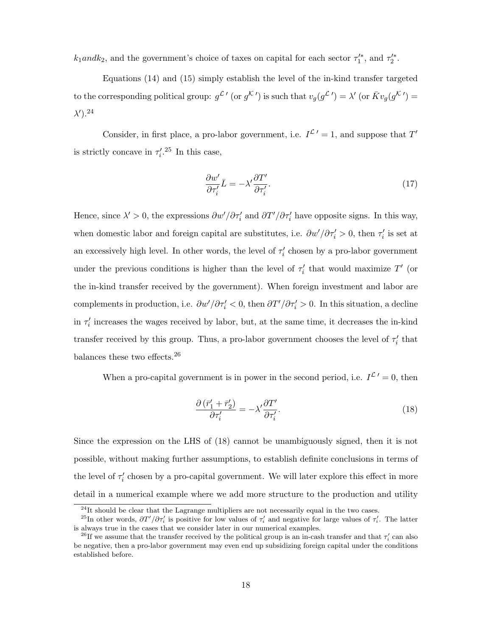$k_1$ *andk*<sub>2</sub>, and the government's choice of taxes on capital for each sector  $\tau_1^{\prime*}$ , and  $\tau_2^{\prime*}$ .

Equations (14) and (15) simply establish the level of the in-kind transfer targeted to the corresponding political group:  $g^{\mathcal{L}'}$  (or  $g^{\mathcal{K}'}$ ) is such that  $v_g(g^{\mathcal{L}'}) = \lambda'$  (or  $\bar{K}v_g(g^{\mathcal{K}'}) =$  $\lambda')$ .<sup>24</sup>

Consider, in first place, a pro-labor government, i.e.  $I^{\mathcal{L}'} = 1$ , and suppose that T' is strictly concave in  $\tau_i^{\prime}$ .<sup>25</sup> In this case,

$$
\frac{\partial w'}{\partial \tau_i'} \bar{L} = -\lambda' \frac{\partial T'}{\partial \tau_i'}.
$$
\n(17)

Hence, since  $\lambda' > 0$ , the expressions  $\partial w'/\partial \tau_i'$  and  $\partial T'/\partial \tau_i'$  have opposite signs. In this way, when domestic labor and foreign capital are substitutes, i.e.  $\partial w'/\partial \tau_i' > 0$ , then  $\tau_i'$  is set at an excessively high level. In other words, the level of  $\tau'_i$  chosen by a pro-labor government under the previous conditions is higher than the level of  $\tau'_i$  that would maximize  $T'$  (or the in-kind transfer received by the government). When foreign investment and labor are complements in production, i.e.  $\partial w'/\partial \tau'_i < 0$ , then  $\partial T'/\partial \tau'_i > 0$ . In this situation, a decline in  $\tau'_i$  increases the wages received by labor, but, at the same time, it decreases the in-kind transfer received by this group. Thus, a pro-labor government chooses the level of  $\tau'_i$  that balances these two effects.<sup>26</sup>

When a pro-capital government is in power in the second period, i.e.  $I^{\mathcal{L}}' = 0$ , then

$$
\frac{\partial \left(\bar{r}_1' + \bar{r}_2'\right)}{\partial \tau_i'} = -\lambda' \frac{\partial T'}{\partial \tau_i'}.\tag{18}
$$

Since the expression on the LHS of (18) cannot be unambiguously signed, then it is not possible, without making further assumptions, to establish definite conclusions in terms of the level of  $\tau'_i$  chosen by a pro-capital government. We will later explore this effect in more detail in a numerical example where we add more structure to the production and utility

 $^{24}$ It should be clear that the Lagrange multipliers are not necessarily equal in the two cases.

<sup>&</sup>lt;sup>25</sup>In other words,  $\partial T'/\partial \tau_i'$  is positive for low values of  $\tau_i'$  and negative for large values of  $\tau_i'$ . The latter is always true in the cases that we consider later in our numerical examples.

<sup>&</sup>lt;sup>26</sup>If we assume that the transfer received by the political group is an in-cash transfer and that  $\tau_i'$  can also be negative, then a pro-labor government may even end up subsidizing foreign capital under the conditions established before.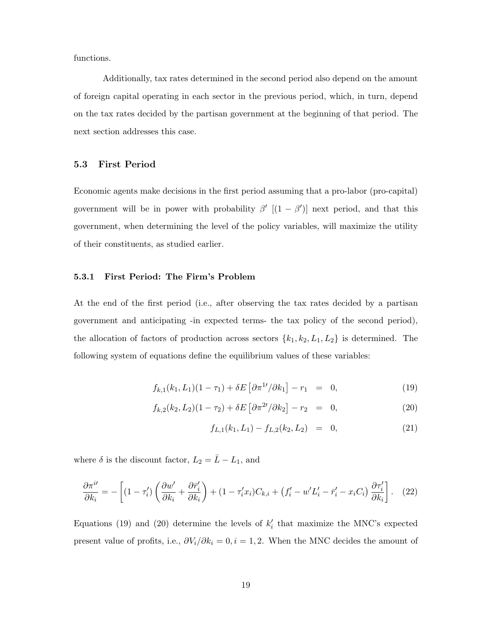functions.

Additionally, tax rates determined in the second period also depend on the amount of foreign capital operating in each sector in the previous period, which, in turn, depend on the tax rates decided by the partisan government at the beginning of that period. The next section addresses this case.

## 5.3 First Period

Economic agents make decisions in the first period assuming that a pro-labor (pro-capital) government will be in power with probability  $\beta'$   $[(1 - \beta')]$  next period, and that this government, when determining the level of the policy variables, will maximize the utility of their constituents, as studied earlier.

#### 5.3.1 First Period: The Firm's Problem

At the end of the first period (i.e., after observing the tax rates decided by a partisan government and anticipating -in expected terms- the tax policy of the second period), the allocation of factors of production across sectors  $\{k_1, k_2, L_1, L_2\}$  is determined. The following system of equations define the equilibrium values of these variables:

$$
f_{k,1}(k_1, L_1)(1 - \tau_1) + \delta E \left[ \frac{\partial \pi^{1/2}}{\partial k_1} \right] - r_1 = 0, \tag{19}
$$

$$
f_{k,2}(k_2, L_2)(1 - \tau_2) + \delta E \left[ \frac{\partial \pi^{2\prime}}{\partial k_2} \right] - r_2 = 0, \tag{20}
$$

$$
f_{L,1}(k_1, L_1) - f_{L,2}(k_2, L_2) = 0, \qquad (21)
$$

where  $\delta$  is the discount factor,  $L_2 = \bar{L} - L_1$ , and

$$
\frac{\partial \pi^{i\prime}}{\partial k_i} = -\left[ (1 - \tau_i') \left( \frac{\partial w'}{\partial k_i} + \frac{\partial \bar{r}_i'}{\partial k_i} \right) + (1 - \tau_i' x_i) C_{k,i} + \left( f_i' - w' L_i' - \bar{r}_i' - x_i C_i \right) \frac{\partial \tau_i'}{\partial k_i} \right]. \tag{22}
$$

Equations (19) and (20) determine the levels of  $k'_{i}$  that maximize the MNC's expected present value of profits, i.e.,  $\partial V_i/\partial k_i = 0, i = 1, 2$ . When the MNC decides the amount of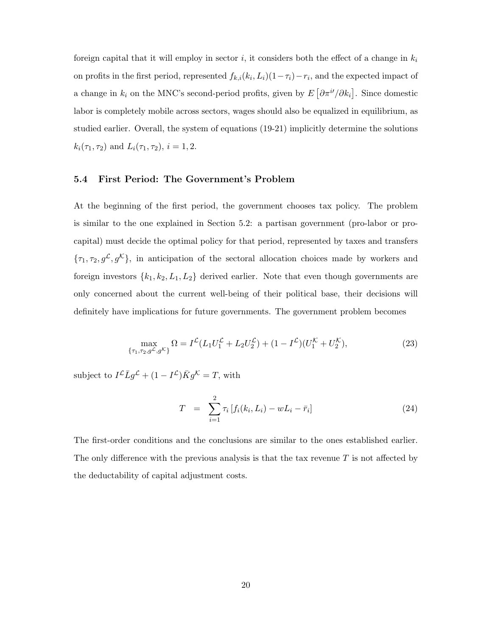foreign capital that it will employ in sector i, it considers both the effect of a change in  $k_i$ on profits in the first period, represented  $f_{k,i}(k_i, L_i)(1 - \tau_i) - r_i$ , and the expected impact of a change in  $k_i$  on the MNC's second-period profits, given by  $E[\partial \pi^{i'}/\partial k_i]$ . Since domestic labor is completely mobile across sectors, wages should also be equalized in equilibrium, as studied earlier. Overall, the system of equations (19-21) implicitly determine the solutions  $k_i(\tau_1, \tau_2)$  and  $L_i(\tau_1, \tau_2)$ ,  $i = 1, 2$ .

## 5.4 First Period: The Government's Problem

At the beginning of the first period, the government chooses tax policy. The problem is similar to the one explained in Section 5.2: a partisan government (pro-labor or procapital) must decide the optimal policy for that period, represented by taxes and transfers  ${\lbrace \tau_1, \tau_2, g^{\mathcal{L}}, g^{\mathcal{K}} \rbrace}$ , in anticipation of the sectoral allocation choices made by workers and foreign investors  $\{k_1, k_2, L_1, L_2\}$  derived earlier. Note that even though governments are only concerned about the current well-being of their political base, their decisions will definitely have implications for future governments. The government problem becomes

$$
\max_{\{\tau_1, \tau_2, g^{\mathcal{L}}, g^{\mathcal{K}}\}} \Omega = I^{\mathcal{L}}(L_1 U_1^{\mathcal{L}} + L_2 U_2^{\mathcal{L}}) + (1 - I^{\mathcal{L}})(U_1^{\mathcal{K}} + U_2^{\mathcal{K}}),
$$
\n(23)

subject to  $I^{\mathcal{L}}\bar{L}g^{\mathcal{L}} + (1 - I^{\mathcal{L}})\bar{K}g^{\mathcal{K}} = T$ , with

$$
T = \sum_{i=1}^{2} \tau_i \left[ f_i(k_i, L_i) - w L_i - \bar{r}_i \right]
$$
 (24)

The first-order conditions and the conclusions are similar to the ones established earlier. The only difference with the previous analysis is that the tax revenue  $T$  is not affected by the deductability of capital adjustment costs.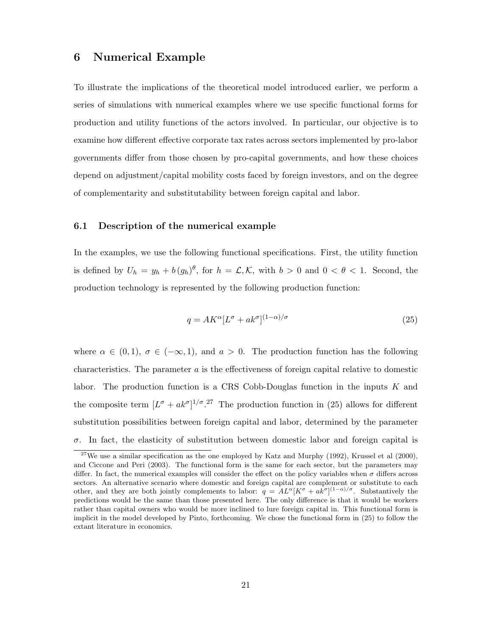# 6 Numerical Example

To illustrate the implications of the theoretical model introduced earlier, we perform a series of simulations with numerical examples where we use specific functional forms for production and utility functions of the actors involved. In particular, our objective is to examine how different effective corporate tax rates across sectors implemented by pro-labor governments differ from those chosen by pro-capital governments, and how these choices depend on adjustment/capital mobility costs faced by foreign investors, and on the degree of complementarity and substitutability between foreign capital and labor.

## 6.1 Description of the numerical example

In the examples, we use the following functional specifications. First, the utility function is defined by  $U_h = y_h + b (g_h)^\theta$ , for  $h = \mathcal{L}, \mathcal{K}$ , with  $b > 0$  and  $0 < \theta < 1$ . Second, the production technology is represented by the following production function:

$$
q = AK^{\alpha}[L^{\sigma} + ak^{\sigma}]^{(1-\alpha)/\sigma}
$$
\n(25)

where  $\alpha \in (0,1)$ ,  $\sigma \in (-\infty,1)$ , and  $\alpha > 0$ . The production function has the following characteristics. The parameter  $a$  is the effectiveness of foreign capital relative to domestic labor. The production function is a CRS Cobb-Douglas function in the inputs  $K$  and the composite term  $[L^{\sigma} + ak^{\sigma}]^{1/\sigma}$ .<sup>27</sup> The production function in (25) allows for different substitution possibilities between foreign capital and labor, determined by the parameter  $\sigma$ . In fact, the elasticity of substitution between domestic labor and foreign capital is

<sup>&</sup>lt;sup>27</sup>We use a similar specification as the one employed by Katz and Murphy (1992), Krussel et al (2000), and Ciccone and Peri (2003). The functional form is the same for each sector, but the parameters may differ. In fact, the numerical examples will consider the effect on the policy variables when  $\sigma$  differs across sectors. An alternative scenario where domestic and foreign capital are complement or substitute to each other, and they are both jointly complements to labor:  $q = A L^{\alpha} [K^{\sigma} + a k^{\sigma}]^{(1-\alpha)/\sigma}$ . Substantively the predictions would be the same than those presented here. The only difference is that it would be workers rather than capital owners who would be more inclined to lure foreign capital in. This functional form is implicit in the model developed by Pinto, forthcoming. We chose the functional form in (25) to follow the extant literature in economics.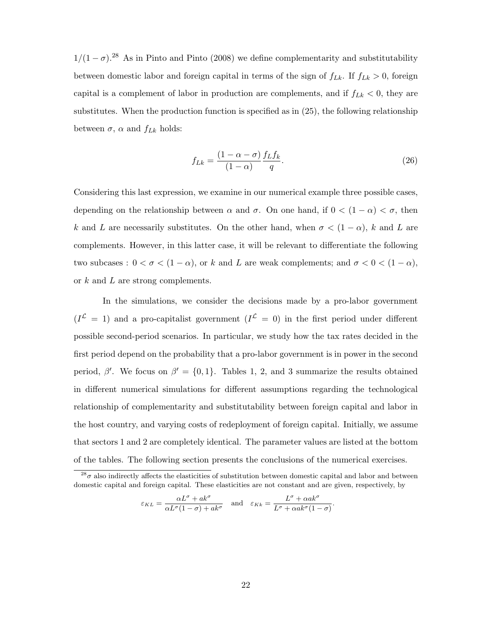$1/(1 - \sigma)$ .<sup>28</sup> As in Pinto and Pinto (2008) we define complementarity and substitutability between domestic labor and foreign capital in terms of the sign of  $f_{Lk}$ . If  $f_{Lk} > 0$ , foreign capital is a complement of labor in production are complements, and if  $f_{Lk} < 0$ , they are substitutes. When the production function is specified as in (25), the following relationship between  $\sigma$ ,  $\alpha$  and  $f_{Lk}$  holds:

$$
f_{Lk} = \frac{(1 - \alpha - \sigma)}{(1 - \alpha)} \frac{f_L f_k}{q}.
$$
\n(26)

Considering this last expression, we examine in our numerical example three possible cases, depending on the relationship between  $\alpha$  and  $\sigma$ . On one hand, if  $0 < (1 - \alpha) < \sigma$ , then k and L are necessarily substitutes. On the other hand, when  $\sigma < (1 - \alpha)$ , k and L are complements. However, in this latter case, it will be relevant to differentiate the following two subcases :  $0 < \sigma < (1 - \alpha)$ , or k and L are weak complements; and  $\sigma < 0 < (1 - \alpha)$ , or k and L are strong complements.

In the simulations, we consider the decisions made by a pro-labor government  $(I^{\mathcal{L}} = 1)$  and a pro-capitalist government  $(I^{\mathcal{L}} = 0)$  in the first period under different possible second-period scenarios. In particular, we study how the tax rates decided in the first period depend on the probability that a pro-labor government is in power in the second period,  $\beta'$ . We focus on  $\beta' = \{0, 1\}$ . Tables 1, 2, and 3 summarize the results obtained in different numerical simulations for different assumptions regarding the technological relationship of complementarity and substitutability between foreign capital and labor in the host country, and varying costs of redeployment of foreign capital. Initially, we assume that sectors 1 and 2 are completely identical. The parameter values are listed at the bottom of the tables. The following section presents the conclusions of the numerical exercises.

$$
\varepsilon_{KL} = \frac{\alpha L^{\sigma} + ak^{\sigma}}{\alpha L^{\sigma} (1 - \sigma) + ak^{\sigma}} \quad \text{and} \quad \varepsilon_{Kk} = \frac{L^{\sigma} + \alpha ak^{\sigma}}{L^{\sigma} + \alpha ak^{\sigma} (1 - \sigma)}.
$$

 $^{28}\sigma$  also indirectly affects the elasticities of substitution between domestic capital and labor and between domestic capital and foreign capital. These elasticities are not constant and are given, respectively, by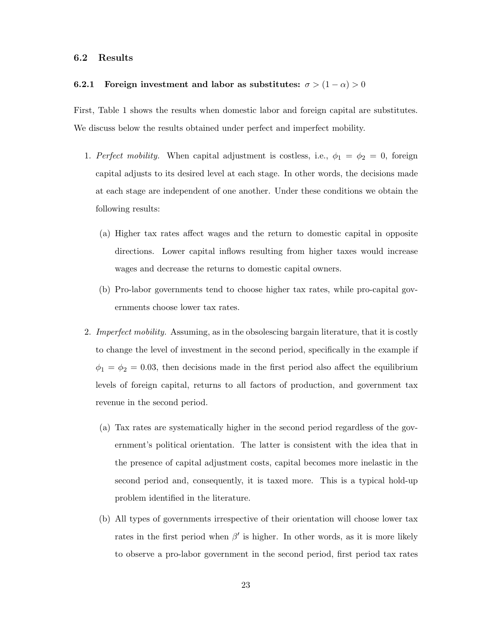#### 6.2 Results

# 6.2.1 Foreign investment and labor as substitutes:  $\sigma > (1 - \alpha) > 0$

First, Table 1 shows the results when domestic labor and foreign capital are substitutes. We discuss below the results obtained under perfect and imperfect mobility.

- 1. Perfect mobility. When capital adjustment is costless, i.e.,  $\phi_1 = \phi_2 = 0$ , foreign capital adjusts to its desired level at each stage. In other words, the decisions made at each stage are independent of one another. Under these conditions we obtain the following results:
	- (a) Higher tax rates affect wages and the return to domestic capital in opposite directions. Lower capital inflows resulting from higher taxes would increase wages and decrease the returns to domestic capital owners.
	- (b) Pro-labor governments tend to choose higher tax rates, while pro-capital governments choose lower tax rates.
- 2. Imperfect mobility. Assuming, as in the obsolescing bargain literature, that it is costly to change the level of investment in the second period, specifically in the example if  $\phi_1 = \phi_2 = 0.03$ , then decisions made in the first period also affect the equilibrium levels of foreign capital, returns to all factors of production, and government tax revenue in the second period.
	- (a) Tax rates are systematically higher in the second period regardless of the government's political orientation. The latter is consistent with the idea that in the presence of capital adjustment costs, capital becomes more inelastic in the second period and, consequently, it is taxed more. This is a typical hold-up problem identified in the literature.
	- (b) All types of governments irrespective of their orientation will choose lower tax rates in the first period when  $\beta'$  is higher. In other words, as it is more likely to observe a pro-labor government in the second period, first period tax rates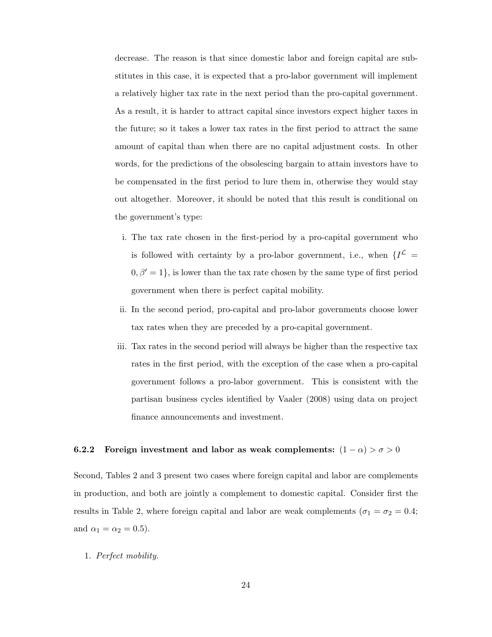decrease. The reason is that since domestic labor and foreign capital are substitutes in this case, it is expected that a pro-labor government will implement a relatively higher tax rate in the next period than the pro-capital government. As a result, it is harder to attract capital since investors expect higher taxes in the future; so it takes a lower tax rates in the first period to attract the same amount of capital than when there are no capital adjustment costs. In other words, for the predictions of the obsolescing bargain to attain investors have to be compensated in the first period to lure them in, otherwise they would stay out altogether. Moreover, it should be noted that this result is conditional on the government's type:

- i. The tax rate chosen in the first-period by a pro-capital government who is followed with certainty by a pro-labor government, i.e., when  $\{I^{\mathcal{L}}=$  $0, \beta' = 1$ , is lower than the tax rate chosen by the same type of first period government when there is perfect capital mobility.
- ii. In the second period, pro-capital and pro-labor governments choose lower tax rates when they are preceded by a pro-capital government.
- iii. Tax rates in the second period will always be higher than the respective tax rates in the first period, with the exception of the case when a pro-capital government follows a pro-labor government. This is consistent with the partisan business cycles identified by Vaaler (2008) using data on project finance announcements and investment.

# 6.2.2 Foreign investment and labor as weak complements:  $(1 - \alpha) > \sigma > 0$

Second, Tables 2 and 3 present two cases where foreign capital and labor are complements in production, and both are jointly a complement to domestic capital. Consider first the results in Table 2, where foreign capital and labor are weak complements ( $\sigma_1 = \sigma_2 = 0.4$ ; and  $\alpha_1 = \alpha_2 = 0.5$ ).

1. Perfect mobility.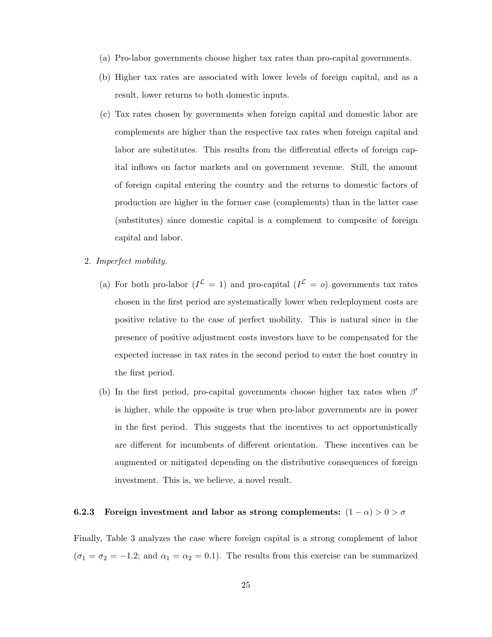- (a) Pro-labor governments choose higher tax rates than pro-capital governments.
- (b) Higher tax rates are associated with lower levels of foreign capital, and as a result, lower returns to both domestic inputs.
- (c) Tax rates chosen by governments when foreign capital and domestic labor are complements are higher than the respective tax rates when foreign capital and labor are substitutes. This results from the differential effects of foreign capital inflows on factor markets and on government revenue. Still, the amount of foreign capital entering the country and the returns to domestic factors of production are higher in the former case (complements) than in the latter case (substitutes) since domestic capital is a complement to composite of foreign capital and labor.
- 2. Imperfect mobility.
	- (a) For both pro-labor  $(I^{\mathcal{L}} = 1)$  and pro-capital  $(I^{\mathcal{L}} = o)$  governments tax rates chosen in the first period are systematically lower when redeployment costs are positive relative to the case of perfect mobility. This is natural since in the presence of positive adjustment costs investors have to be compensated for the expected increase in tax rates in the second period to enter the host country in the first period.
	- (b) In the first period, pro-capital governments choose higher tax rates when  $\beta'$ is higher, while the opposite is true when pro-labor governments are in power in the first period. This suggests that the incentives to act opportunistically are different for incumbents of different orientation. These incentives can be augmented or mitigated depending on the distributive consequences of foreign investment. This is, we believe, a novel result.

# 6.2.3 Foreign investment and labor as strong complements:  $(1 - \alpha) > 0 > \sigma$

Finally, Table 3 analyzes the case where foreign capital is a strong complement of labor  $(\sigma_1 = \sigma_2 = -1.2;$  and  $\alpha_1 = \alpha_2 = 0.1$ ). The results from this exercise can be summarized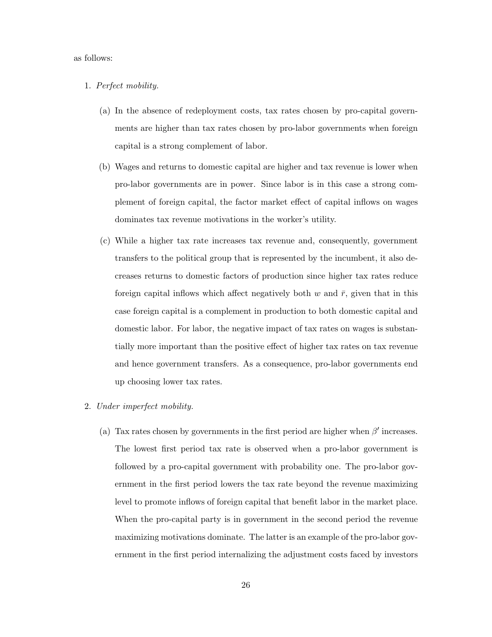#### as follows:

#### 1. Perfect mobility.

- (a) In the absence of redeployment costs, tax rates chosen by pro-capital governments are higher than tax rates chosen by pro-labor governments when foreign capital is a strong complement of labor.
- (b) Wages and returns to domestic capital are higher and tax revenue is lower when pro-labor governments are in power. Since labor is in this case a strong complement of foreign capital, the factor market effect of capital inflows on wages dominates tax revenue motivations in the worker's utility.
- (c) While a higher tax rate increases tax revenue and, consequently, government transfers to the political group that is represented by the incumbent, it also decreases returns to domestic factors of production since higher tax rates reduce foreign capital inflows which affect negatively both w and  $\bar{r}$ , given that in this case foreign capital is a complement in production to both domestic capital and domestic labor. For labor, the negative impact of tax rates on wages is substantially more important than the positive effect of higher tax rates on tax revenue and hence government transfers. As a consequence, pro-labor governments end up choosing lower tax rates.

#### 2. Under imperfect mobility.

(a) Tax rates chosen by governments in the first period are higher when  $\beta'$  increases. The lowest first period tax rate is observed when a pro-labor government is followed by a pro-capital government with probability one. The pro-labor government in the first period lowers the tax rate beyond the revenue maximizing level to promote inflows of foreign capital that benefit labor in the market place. When the pro-capital party is in government in the second period the revenue maximizing motivations dominate. The latter is an example of the pro-labor government in the first period internalizing the adjustment costs faced by investors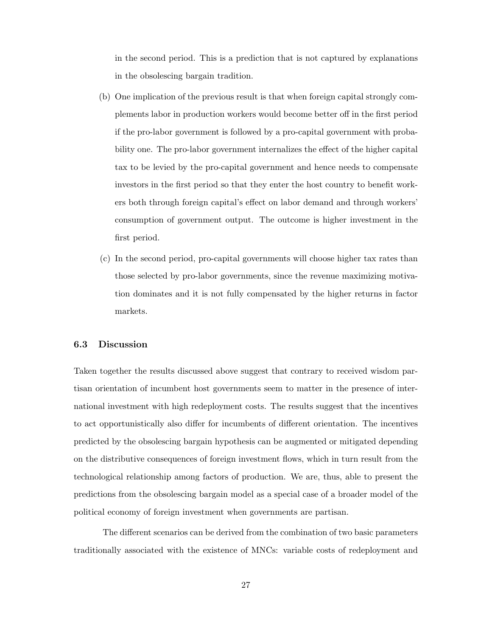in the second period. This is a prediction that is not captured by explanations in the obsolescing bargain tradition.

- (b) One implication of the previous result is that when foreign capital strongly complements labor in production workers would become better off in the first period if the pro-labor government is followed by a pro-capital government with probability one. The pro-labor government internalizes the effect of the higher capital tax to be levied by the pro-capital government and hence needs to compensate investors in the first period so that they enter the host country to benefit workers both through foreign capital's effect on labor demand and through workers' consumption of government output. The outcome is higher investment in the first period.
- (c) In the second period, pro-capital governments will choose higher tax rates than those selected by pro-labor governments, since the revenue maximizing motivation dominates and it is not fully compensated by the higher returns in factor markets.

## 6.3 Discussion

Taken together the results discussed above suggest that contrary to received wisdom partisan orientation of incumbent host governments seem to matter in the presence of international investment with high redeployment costs. The results suggest that the incentives to act opportunistically also differ for incumbents of different orientation. The incentives predicted by the obsolescing bargain hypothesis can be augmented or mitigated depending on the distributive consequences of foreign investment flows, which in turn result from the technological relationship among factors of production. We are, thus, able to present the predictions from the obsolescing bargain model as a special case of a broader model of the political economy of foreign investment when governments are partisan.

The different scenarios can be derived from the combination of two basic parameters traditionally associated with the existence of MNCs: variable costs of redeployment and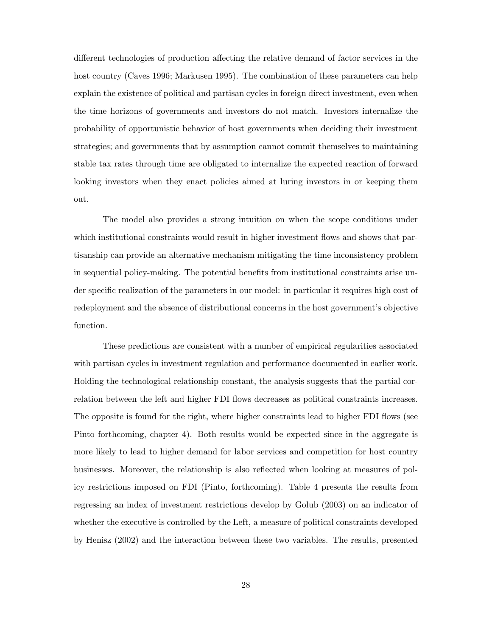different technologies of production affecting the relative demand of factor services in the host country (Caves 1996; Markusen 1995). The combination of these parameters can help explain the existence of political and partisan cycles in foreign direct investment, even when the time horizons of governments and investors do not match. Investors internalize the probability of opportunistic behavior of host governments when deciding their investment strategies; and governments that by assumption cannot commit themselves to maintaining stable tax rates through time are obligated to internalize the expected reaction of forward looking investors when they enact policies aimed at luring investors in or keeping them out.

The model also provides a strong intuition on when the scope conditions under which institutional constraints would result in higher investment flows and shows that partisanship can provide an alternative mechanism mitigating the time inconsistency problem in sequential policy-making. The potential benefits from institutional constraints arise under specific realization of the parameters in our model: in particular it requires high cost of redeployment and the absence of distributional concerns in the host government's objective function.

These predictions are consistent with a number of empirical regularities associated with partisan cycles in investment regulation and performance documented in earlier work. Holding the technological relationship constant, the analysis suggests that the partial correlation between the left and higher FDI flows decreases as political constraints increases. The opposite is found for the right, where higher constraints lead to higher FDI flows (see Pinto forthcoming, chapter 4). Both results would be expected since in the aggregate is more likely to lead to higher demand for labor services and competition for host country businesses. Moreover, the relationship is also reflected when looking at measures of policy restrictions imposed on FDI (Pinto, forthcoming). Table 4 presents the results from regressing an index of investment restrictions develop by Golub (2003) on an indicator of whether the executive is controlled by the Left, a measure of political constraints developed by Henisz (2002) and the interaction between these two variables. The results, presented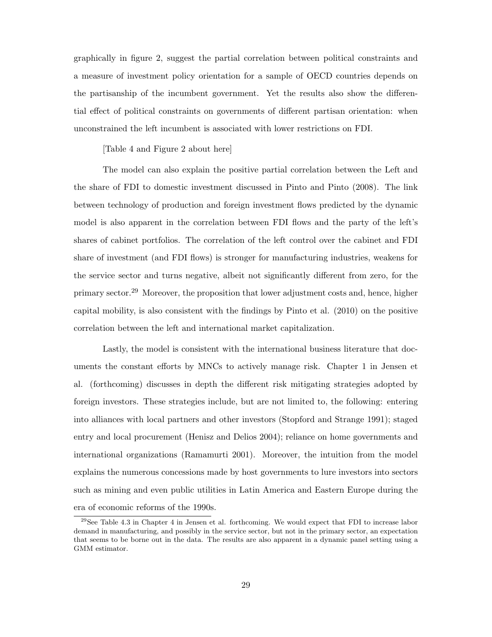graphically in figure 2, suggest the partial correlation between political constraints and a measure of investment policy orientation for a sample of OECD countries depends on the partisanship of the incumbent government. Yet the results also show the differential effect of political constraints on governments of different partisan orientation: when unconstrained the left incumbent is associated with lower restrictions on FDI.

[Table 4 and Figure 2 about here]

The model can also explain the positive partial correlation between the Left and the share of FDI to domestic investment discussed in Pinto and Pinto (2008). The link between technology of production and foreign investment flows predicted by the dynamic model is also apparent in the correlation between FDI flows and the party of the left's shares of cabinet portfolios. The correlation of the left control over the cabinet and FDI share of investment (and FDI flows) is stronger for manufacturing industries, weakens for the service sector and turns negative, albeit not significantly different from zero, for the primary sector.<sup>29</sup> Moreover, the proposition that lower adjustment costs and, hence, higher capital mobility, is also consistent with the findings by Pinto et al. (2010) on the positive correlation between the left and international market capitalization.

Lastly, the model is consistent with the international business literature that documents the constant efforts by MNCs to actively manage risk. Chapter 1 in Jensen et al. (forthcoming) discusses in depth the different risk mitigating strategies adopted by foreign investors. These strategies include, but are not limited to, the following: entering into alliances with local partners and other investors (Stopford and Strange 1991); staged entry and local procurement (Henisz and Delios 2004); reliance on home governments and international organizations (Ramamurti 2001). Moreover, the intuition from the model explains the numerous concessions made by host governments to lure investors into sectors such as mining and even public utilities in Latin America and Eastern Europe during the era of economic reforms of the 1990s.

 $29$ See Table 4.3 in Chapter 4 in Jensen et al. forthcoming. We would expect that FDI to increase labor demand in manufacturing, and possibly in the service sector, but not in the primary sector, an expectation that seems to be borne out in the data. The results are also apparent in a dynamic panel setting using a GMM estimator.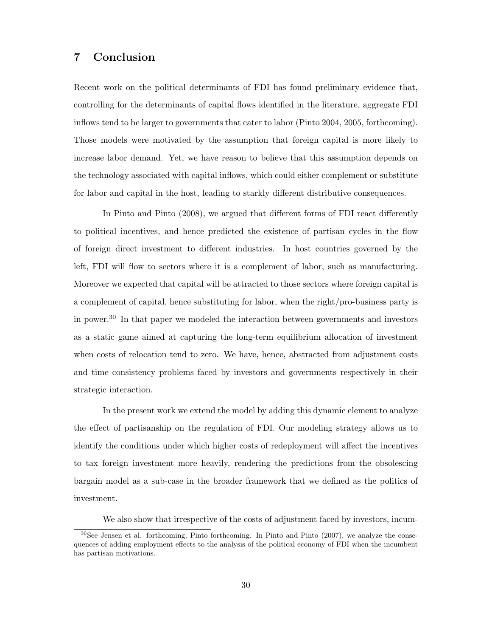# 7 Conclusion

Recent work on the political determinants of FDI has found preliminary evidence that, controlling for the determinants of capital flows identified in the literature, aggregate FDI inflows tend to be larger to governments that cater to labor (Pinto 2004, 2005, forthcoming). Those models were motivated by the assumption that foreign capital is more likely to increase labor demand. Yet, we have reason to believe that this assumption depends on the technology associated with capital inflows, which could either complement or substitute for labor and capital in the host, leading to starkly different distributive consequences.

In Pinto and Pinto (2008), we argued that different forms of FDI react differently to political incentives, and hence predicted the existence of partisan cycles in the flow of foreign direct investment to different industries. In host countries governed by the left, FDI will flow to sectors where it is a complement of labor, such as manufacturing. Moreover we expected that capital will be attracted to those sectors where foreign capital is a complement of capital, hence substituting for labor, when the right/pro-business party is in power.<sup>30</sup> In that paper we modeled the interaction between governments and investors as a static game aimed at capturing the long-term equilibrium allocation of investment when costs of relocation tend to zero. We have, hence, abstracted from adjustment costs and time consistency problems faced by investors and governments respectively in their strategic interaction.

In the present work we extend the model by adding this dynamic element to analyze the effect of partisanship on the regulation of FDI. Our modeling strategy allows us to identify the conditions under which higher costs of redeployment will affect the incentives to tax foreign investment more heavily, rendering the predictions from the obsolescing bargain model as a sub-case in the broader framework that we defined as the politics of investment.

We also show that irrespective of the costs of adjustment faced by investors, incum-

 $30$ See Jensen et al. forthcoming; Pinto forthcoming. In Pinto and Pinto (2007), we analyze the consequences of adding employment effects to the analysis of the political economy of FDI when the incumbent has partisan motivations.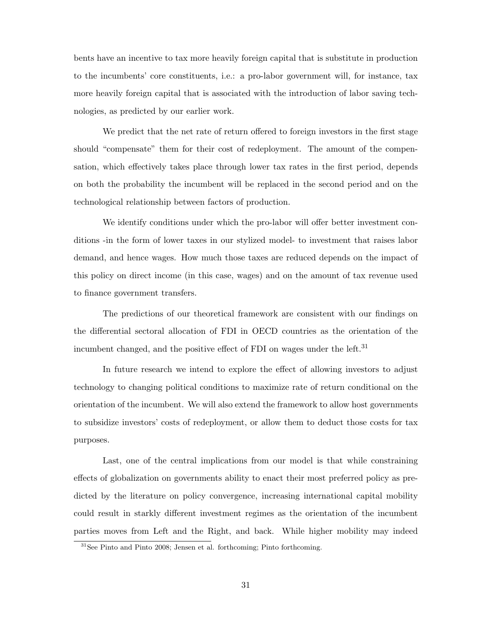bents have an incentive to tax more heavily foreign capital that is substitute in production to the incumbents' core constituents, i.e.: a pro-labor government will, for instance, tax more heavily foreign capital that is associated with the introduction of labor saving technologies, as predicted by our earlier work.

We predict that the net rate of return offered to foreign investors in the first stage should "compensate" them for their cost of redeployment. The amount of the compensation, which effectively takes place through lower tax rates in the first period, depends on both the probability the incumbent will be replaced in the second period and on the technological relationship between factors of production.

We identify conditions under which the pro-labor will offer better investment conditions -in the form of lower taxes in our stylized model- to investment that raises labor demand, and hence wages. How much those taxes are reduced depends on the impact of this policy on direct income (in this case, wages) and on the amount of tax revenue used to finance government transfers.

The predictions of our theoretical framework are consistent with our findings on the differential sectoral allocation of FDI in OECD countries as the orientation of the incumbent changed, and the positive effect of FDI on wages under the left.<sup>31</sup>

In future research we intend to explore the effect of allowing investors to adjust technology to changing political conditions to maximize rate of return conditional on the orientation of the incumbent. We will also extend the framework to allow host governments to subsidize investors' costs of redeployment, or allow them to deduct those costs for tax purposes.

Last, one of the central implications from our model is that while constraining effects of globalization on governments ability to enact their most preferred policy as predicted by the literature on policy convergence, increasing international capital mobility could result in starkly different investment regimes as the orientation of the incumbent parties moves from Left and the Right, and back. While higher mobility may indeed

<sup>31</sup>See Pinto and Pinto 2008; Jensen et al. forthcoming; Pinto forthcoming.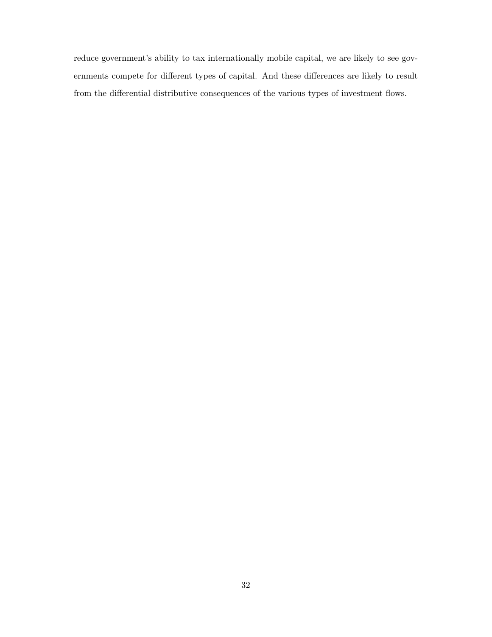reduce government's ability to tax internationally mobile capital, we are likely to see governments compete for different types of capital. And these differences are likely to result from the differential distributive consequences of the various types of investment flows.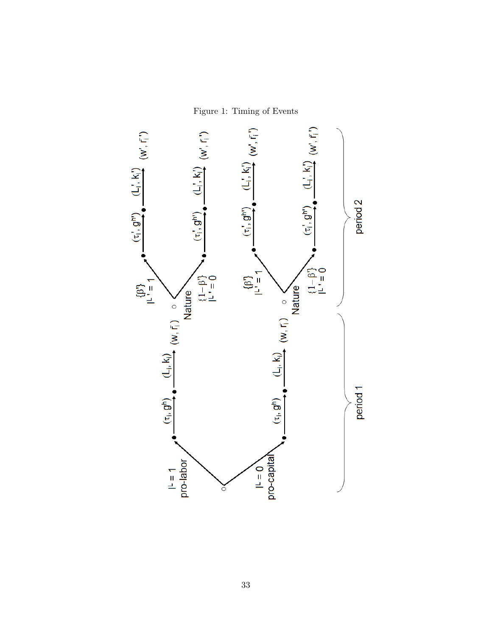Figure 1: Timing of Events

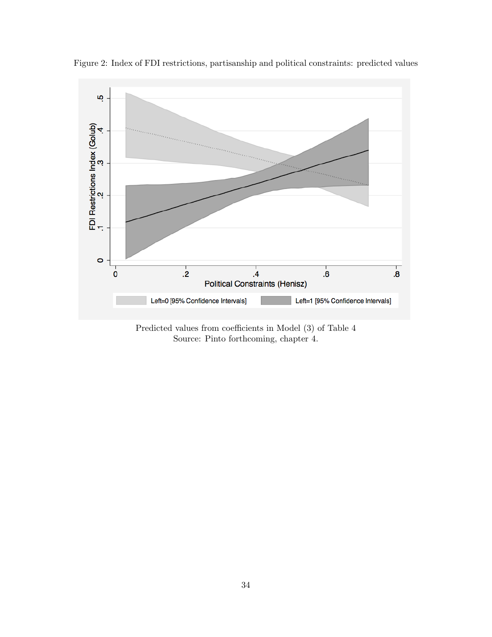

Figure 2: Index of FDI restrictions, partisanship and political constraints: predicted values

Predicted values from coefficients in Model (3) of Table 4 Source: Pinto forthcoming, chapter 4.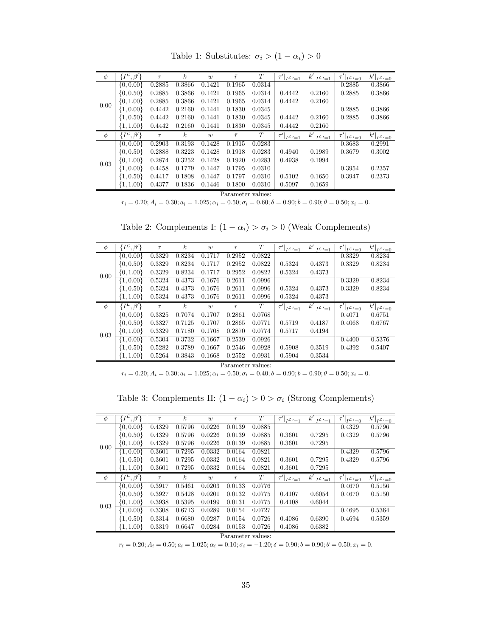| $\phi$            | $,\bar{\beta'}$<br>$\{I^\mathcal{L},$      | $\tau$ | $\boldsymbol{k}$ | w      | $\bar{r}$ | T      | $\tau' _{I^{\mathcal{L}'}=1}$ | k' <br>$I^{\mathcal{L}'}=1$ | $\tau' _{I^{\mathcal{L}}=\underline{0}}$     | $\overline{k' }_{I^{\mathcal{L}'}=0}$                |
|-------------------|--------------------------------------------|--------|------------------|--------|-----------|--------|-------------------------------|-----------------------------|----------------------------------------------|------------------------------------------------------|
| 0.00              | $\{0, 0.00\}$                              | 0.2885 | 0.3866           | 0.1421 | 0.1965    | 0.0314 |                               |                             | 0.2885                                       | 0.3866                                               |
|                   | $\{0, 0.50\}$                              | 0.2885 | 0.3866           | 0.1421 | 0.1965    | 0.0314 | 0.4442                        | 0.2160                      | 0.2885                                       | 0.3866                                               |
|                   | $\{0, 1.00\}$                              | 0.2885 | 0.3866           | 0.1421 | 0.1965    | 0.0314 | 0.4442                        | 0.2160                      |                                              |                                                      |
|                   | $\{1, 0.00\}$                              | 0.4442 | 0.2160           | 0.1441 | 0.1830    | 0.0345 |                               |                             | 0.2885                                       | 0.3866                                               |
|                   | $\{1, 0.50\}$                              | 0.4442 | 0.2160           | 0.1441 | 0.1830    | 0.0345 | 0.4442                        | 0.2160                      | 0.2885                                       | 0.3866                                               |
|                   | $\{1, 1.00\}$                              | 0.4442 | 0.2160           | 0.1441 | 0.1830    | 0.0345 | 0.4442                        | 0.2160                      |                                              |                                                      |
| $\phi$            | $\cdot$ , $\beta'$ }<br>$\{I^\mathcal{L},$ | $\tau$ | $\boldsymbol{k}$ | w      | $\bar{r}$ | T      | $\tau' _{I^{\mathcal{L}'}=1}$ | k' <br>$I^{\mathcal{L}'}=1$ | $\tau' _{I^{\mathcal{L}}}\underline{\psi=0}$ | $\overline{k'} _{I^{\mathcal{L}}}\underline{\psi=0}$ |
|                   | $\{0, 0.00\}$                              | 0.2903 | 0.3193           | 0.1428 | 0.1915    | 0.0283 |                               |                             | 0.3683                                       | 0.2991                                               |
|                   | $\{0, 0.50\}$                              | 0.2888 | 0.3223           | 0.1428 | 0.1918    | 0.0283 | 0.4940                        | 0.1989                      | 0.3679                                       | 0.3002                                               |
| 0.03              | $\{0, 1.00\}$                              | 0.2874 | 0.3252           | 0.1428 | 0.1920    | 0.0283 | 0.4938                        | 0.1994                      |                                              |                                                      |
|                   | $\{1, 0.00\}$                              | 0.4458 | 0.1779           | 0.1447 | 0.1795    | 0.0310 |                               |                             | 0.3954                                       | 0.2357                                               |
|                   | $\{1, 0.50\}$                              | 0.4417 | 0.1808           | 0.1447 | 0.1797    | 0.0310 | 0.5102                        | 0.1650                      | 0.3947                                       | 0.2373                                               |
|                   | $\{1, 1.00\}$                              | 0.4377 | 0.1836           | 0.1446 | 0.1800    | 0.0310 | 0.5097                        | 0.1659                      |                                              |                                                      |
| Parameter values: |                                            |        |                  |        |           |        |                               |                             |                                              |                                                      |

Table 1: Substitutes:  $\sigma_i > (1 - \alpha_i) > 0$ 

 $r_i = 0.20; A_i = 0.30; a_i = 1.025; \alpha_i = 0.50; \sigma_i = 0.60; \delta = 0.90; b = 0.90; \theta = 0.50; x_i = 0.$ 

Table 2: Complements I:  $(1 - \alpha_i) > \sigma_i > 0$  (Weak Complements)

| $\phi$ | $\{I^{\mathcal{L}}\}$<br>$\cdot$ , $\beta'$ }     | $\tau$ | $\boldsymbol{k}$ | w      | $\boldsymbol{r}$ | T      | $\tau' _{I^{\mathcal{L}'}=1}$             | $k' _{I^{\mathcal{L}}'=1}$ | $\tau' _{I^{\mathcal{L}'}=0}$       | $k' _{I^{\mathcal{L}}'=0}$ |
|--------|---------------------------------------------------|--------|------------------|--------|------------------|--------|-------------------------------------------|----------------------------|-------------------------------------|----------------------------|
| 0.00   | $\{0, 0.00\}$                                     | 0.3329 | 0.8234           | 0.1717 | 0.2952           | 0.0822 |                                           |                            | 0.3329                              | 0.8234                     |
|        | $\{0, 0.50\}$                                     | 0.3329 | 0.8234           | 0.1717 | 0.2952           | 0.0822 | 0.5324                                    | 0.4373                     | 0.3329                              | 0.8234                     |
|        | $\{0, 1.00\}$                                     | 0.3329 | 0.8234           | 0.1717 | 0.2952           | 0.0822 | 0.5324                                    | 0.4373                     |                                     |                            |
|        | $\{1, 0.00\}$                                     | 0.5324 | 0.4373           | 0.1676 | 0.2611           | 0.0996 |                                           |                            | 0.3329                              | 0.8234                     |
|        | $\{1, 0.50\}$                                     | 0.5324 | 0.4373           | 0.1676 | 0.2611           | 0.0996 | 0.5324                                    | 0.4373                     | 0.3329                              | 0.8234                     |
|        | $\{1, 1.00\}$                                     | 0.5324 | 0.4373           | 0.1676 | 0.2611           | 0.0996 | 0.5324                                    | 0.4373                     |                                     |                            |
| $\phi$ | $\cdot$ , $\beta'$ }<br>$\lambda I^{\mathcal{L}}$ | $\tau$ | $\boldsymbol{k}$ | w      | $\boldsymbol{r}$ | T      | $\tau' _{I \stackrel{\mathcal{L}'}{=} 1}$ | $k' _{I^{\mathcal{L}}'=1}$ | $\tau' _{I^{\mathcal{L}}'\equiv 0}$ | $k' _{I^{\mathcal{L}}'=0}$ |
| 0.03   | $\{0, 0.00\}$                                     | 0.3325 | 0.7074           | 0.1707 | 0.2861           | 0.0768 |                                           |                            | 0.4071                              | 0.6751                     |
|        | $\{0, 0.50\}$                                     | 0.3327 | 0.7125           | 0.1707 | 0.2865           | 0.0771 | 0.5719                                    | 0.4187                     | 0.4068                              | 0.6767                     |
|        | $\{0, 1.00\}$                                     | 0.3329 | 0.7180           | 0.1708 | 0.2870           | 0.0774 | 0.5717                                    | 0.4194                     |                                     |                            |
|        | $\{1, 0.00\}$                                     | 0.5304 | 0.3732           | 0.1667 | 0.2539           | 0.0926 |                                           |                            | 0.4400                              | 0.5376                     |
|        | $\{1, 0.50\}$                                     | 0.5282 | 0.3789           | 0.1667 | 0.2546           | 0.0928 | 0.5908                                    | 0.3519                     | 0.4392                              | 0.5407                     |
|        | $\{1, 1.00\}$                                     | 0.5264 | 0.3843           | 0.1668 | 0.2552           | 0.0931 | 0.5904                                    | 0.3534                     |                                     |                            |

Parameter values:

 $r_i = 0.20; A_i = 0.30; a_i = 1.025; \alpha_i = 0.50; \sigma_i = 0.40; \delta = 0.90; b = 0.90; \theta = 0.50; x_i = 0.$ 

Table 3: Complements II:  $(1 - \alpha_i) > 0 > \sigma_i$  (Strong Complements)

| $\phi$ | $\{I^{\mathcal{L}}, \beta'\}$                 | $\tau$ | $\boldsymbol{k}$ | w      | $\boldsymbol{r}$ | $\tau$ | $\bar{\tau'} _{\underline{I^{\mathcal{L}}'=1}}$ | $\left.\overline{k'}\right _{\underline{I^{\mathcal{L}}'}=\underline{1}}$ | $\bar{\tau'} _{\underline{I^{\mathcal{L}}'=0}}$ | $\overline{k' _I}$ $\mathcal{L'}=0$ |
|--------|-----------------------------------------------|--------|------------------|--------|------------------|--------|-------------------------------------------------|---------------------------------------------------------------------------|-------------------------------------------------|-------------------------------------|
| 0.00   | $\{0, 0.00\}$                                 | 0.4329 | 0.5796           | 0.0226 | 0.0139           | 0.0885 |                                                 |                                                                           | 0.4329                                          | 0.5796                              |
|        | $\{0, 0.50\}$                                 | 0.4329 | 0.5796           | 0.0226 | 0.0139           | 0.0885 | 0.3601                                          | 0.7295                                                                    | 0.4329                                          | 0.5796                              |
|        | $\{0, 1.00\}$                                 | 0.4329 | 0.5796           | 0.0226 | 0.0139           | 0.0885 | 0.3601                                          | 0.7295                                                                    |                                                 |                                     |
|        | $\{1, 0.00\}$                                 | 0.3601 | 0.7295           | 0.0332 | 0.0164           | 0.0821 |                                                 |                                                                           | 0.4329                                          | 0.5796                              |
|        | $\{1, 0.50\}$                                 | 0.3601 | 0.7295           | 0.0332 | 0.0164           | 0.0821 | 0.3601                                          | 0.7295                                                                    | 0.4329                                          | 0.5796                              |
|        | $\{1, 1.00\}$                                 | 0.3601 | 0.7295           | 0.0332 | 0.0164           | 0.0821 | 0.3601                                          | 0.7295                                                                    |                                                 |                                     |
|        |                                               |        |                  |        |                  |        |                                                 |                                                                           |                                                 |                                     |
| $\phi$ | $\cdot, \beta'$<br>$\{ \bar{I}^{\mathcal{L}}$ | $\tau$ | $\boldsymbol{k}$ | w      | $\boldsymbol{r}$ | T      |                                                 | $k' _{I^{\mathcal{L}}'=1}$                                                |                                                 | $k' _{I^{\mathcal{L}}'=0}$          |
|        | $\{0, 0.00\}$                                 | 0.3917 | 0.5461           | 0.0203 | 0.0133           | 0.0776 | $\tau' _{I \stackrel{\mathcal{L}'}{=} 1}$       |                                                                           | $\tau' _{I^{\mathcal{L}}{}' = 0}$<br>0.4670     | 0.5156                              |
|        | $\{0, 0.50\}$                                 | 0.3927 | 0.5428           | 0.0201 | 0.0132           | 0.0775 | 0.4107                                          | 0.6054                                                                    | 0.4670                                          | 0.5150                              |
|        | $\{0, 1.00\}$                                 | 0.3938 | 0.5395           | 0.0199 | 0.0131           | 0.0775 | 0.4108                                          | 0.6044                                                                    |                                                 |                                     |
| 0.03   | $\{1, 0.00\}$                                 | 0.3308 | 0.6713           | 0.0289 | 0.0154           | 0.0727 |                                                 |                                                                           | 0.4695                                          | 0.5364                              |
|        | $\{1, 0.50\}$                                 | 0.3314 | 0.6680           | 0.0287 | 0.0154           | 0.0726 | 0.4086                                          | 0.6390                                                                    | 0.4694                                          | 0.5359                              |
|        | $\{1, 1.00\}$                                 | 0.3319 | 0.6647           | 0.0284 | 0.0153           | 0.0726 | 0.4086                                          | 0.6382                                                                    |                                                 |                                     |

Parameter values:

 $r_i = 0.20; A_i = 0.50; a_i = 1.025; \alpha_i = 0.10; \sigma_i = -1.20; \delta = 0.90; b = 0.90; \theta = 0.50; x_i = 0.$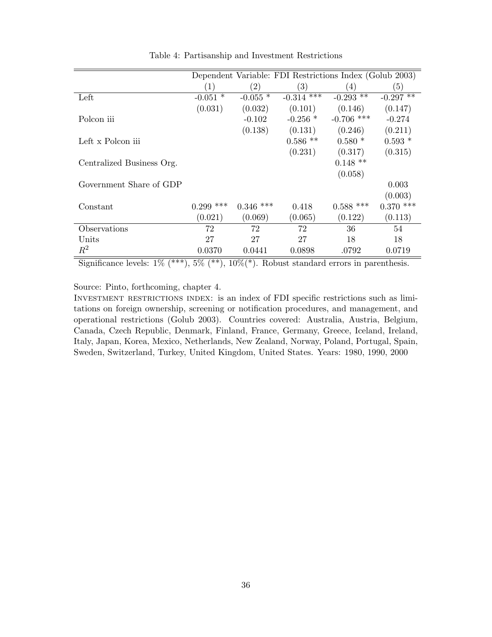|                           |                    |                   | Dependent Variable: FDI Restrictions Index (Golub 2003) |              |             |
|---------------------------|--------------------|-------------------|---------------------------------------------------------|--------------|-------------|
|                           | (1)                | $\left( 2\right)$ | $\left( 3\right)$                                       | (4)          | (5)         |
| Left                      | $\ast$<br>$-0.051$ | -0.055 $^{\ast}$  | $-0.314$ ***                                            | $-0.293$ **  | $-0.297$ ** |
|                           | (0.031)            | (0.032)           | (0.101)                                                 | (0.146)      | (0.147)     |
| Polcon iii                |                    | $-0.102$          | $-0.256$ *                                              | $-0.706$ *** | $-0.274$    |
|                           |                    | (0.138)           | (0.131)                                                 | (0.246)      | (0.211)     |
| Left x Polcon iii         |                    |                   | $0.586$ **                                              | $0.580*$     | $0.593*$    |
|                           |                    |                   | (0.231)                                                 | (0.317)      | (0.315)     |
| Centralized Business Org. |                    |                   |                                                         | $0.148$ **   |             |
|                           |                    |                   |                                                         | (0.058)      |             |
| Government Share of GDP   |                    |                   |                                                         |              | 0.003       |
|                           |                    |                   |                                                         |              | (0.003)     |
| Constant                  | $0.299$ ***        | $0.346$ ***       | 0.418                                                   | $0.588$ ***  | $0.370$ *** |
|                           | (0.021)            | (0.069)           | (0.065)                                                 | (0.122)      | (0.113)     |
| Observations              | 72                 | 72                | 72                                                      | 36           | 54          |
| Units                     | 27                 | 27                | 27                                                      | 18           | 18          |
| $R^2$                     | 0.0370             | 0.0441            | 0.0898                                                  | .0792        | 0.0719      |

Table 4: Partisanship and Investment Restrictions

Significance levels:  $1\%$  (\*\*\*),  $5\%$  (\*\*),  $10\%$ (\*). Robust standard errors in parenthesis.

Source: Pinto, forthcoming, chapter 4.

Investment restrictions index: is an index of FDI specific restrictions such as limitations on foreign ownership, screening or notification procedures, and management, and operational restrictions (Golub 2003). Countries covered: Australia, Austria, Belgium, Canada, Czech Republic, Denmark, Finland, France, Germany, Greece, Iceland, Ireland, Italy, Japan, Korea, Mexico, Netherlands, New Zealand, Norway, Poland, Portugal, Spain, Sweden, Switzerland, Turkey, United Kingdom, United States. Years: 1980, 1990, 2000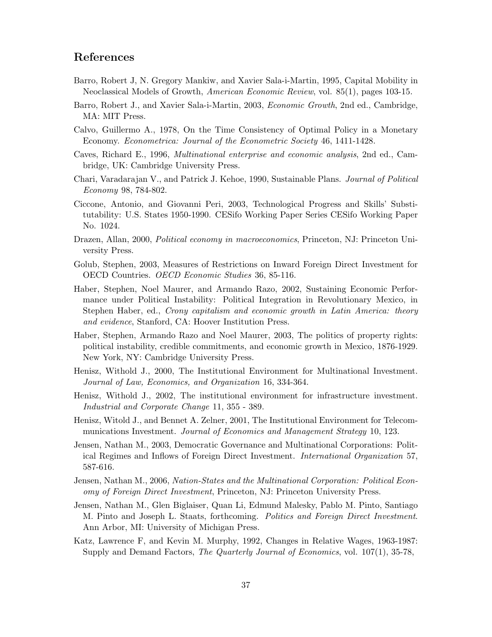# References

- Barro, Robert J, N. Gregory Mankiw, and Xavier Sala-i-Martin, 1995, Capital Mobility in Neoclassical Models of Growth, American Economic Review, vol. 85(1), pages 103-15.
- Barro, Robert J., and Xavier Sala-i-Martin, 2003, Economic Growth, 2nd ed., Cambridge, MA: MIT Press.
- Calvo, Guillermo A., 1978, On the Time Consistency of Optimal Policy in a Monetary Economy. Econometrica: Journal of the Econometric Society 46, 1411-1428.
- Caves, Richard E., 1996, Multinational enterprise and economic analysis, 2nd ed., Cambridge, UK: Cambridge University Press.
- Chari, Varadarajan V., and Patrick J. Kehoe, 1990, Sustainable Plans. Journal of Political Economy 98, 784-802.
- Ciccone, Antonio, and Giovanni Peri, 2003, Technological Progress and Skills' Substitutability: U.S. States 1950-1990. CESifo Working Paper Series CESifo Working Paper No. 1024.
- Drazen, Allan, 2000, Political economy in macroeconomics, Princeton, NJ: Princeton University Press.
- Golub, Stephen, 2003, Measures of Restrictions on Inward Foreign Direct Investment for OECD Countries. OECD Economic Studies 36, 85-116.
- Haber, Stephen, Noel Maurer, and Armando Razo, 2002, Sustaining Economic Performance under Political Instability: Political Integration in Revolutionary Mexico, in Stephen Haber, ed., Crony capitalism and economic growth in Latin America: theory and evidence, Stanford, CA: Hoover Institution Press.
- Haber, Stephen, Armando Razo and Noel Maurer, 2003, The politics of property rights: political instability, credible commitments, and economic growth in Mexico, 1876-1929. New York, NY: Cambridge University Press.
- Henisz, Withold J., 2000, The Institutional Environment for Multinational Investment. Journal of Law, Economics, and Organization 16, 334-364.
- Henisz, Withold J., 2002, The institutional environment for infrastructure investment. Industrial and Corporate Change 11, 355 - 389.
- Henisz, Witold J., and Bennet A. Zelner, 2001, The Institutional Environment for Telecommunications Investment. Journal of Economics and Management Strategy 10, 123.
- Jensen, Nathan M., 2003, Democratic Governance and Multinational Corporations: Political Regimes and Inflows of Foreign Direct Investment. International Organization 57, 587-616.
- Jensen, Nathan M., 2006, Nation-States and the Multinational Corporation: Political Economy of Foreign Direct Investment, Princeton, NJ: Princeton University Press.
- Jensen, Nathan M., Glen Biglaiser, Quan Li, Edmund Malesky, Pablo M. Pinto, Santiago M. Pinto and Joseph L. Staats, forthcoming. Politics and Foreign Direct Investment. Ann Arbor, MI: University of Michigan Press.
- Katz, Lawrence F, and Kevin M. Murphy, 1992, Changes in Relative Wages, 1963-1987: Supply and Demand Factors, The Quarterly Journal of Economics, vol. 107(1), 35-78,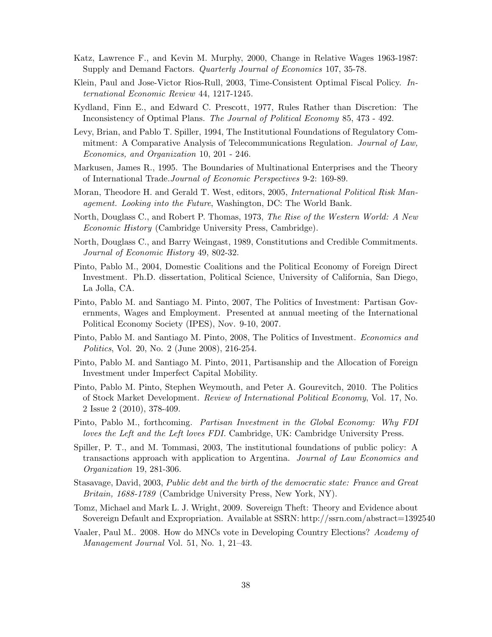- Katz, Lawrence F., and Kevin M. Murphy, 2000, Change in Relative Wages 1963-1987: Supply and Demand Factors. Quarterly Journal of Economics 107, 35-78.
- Klein, Paul and Jose-Victor Rios-Rull, 2003, Time-Consistent Optimal Fiscal Policy. International Economic Review 44, 1217-1245.
- Kydland, Finn E., and Edward C. Prescott, 1977, Rules Rather than Discretion: The Inconsistency of Optimal Plans. The Journal of Political Economy 85, 473 - 492.
- Levy, Brian, and Pablo T. Spiller, 1994, The Institutional Foundations of Regulatory Commitment: A Comparative Analysis of Telecommunications Regulation. Journal of Law, Economics, and Organization 10, 201 - 246.
- Markusen, James R., 1995. The Boundaries of Multinational Enterprises and the Theory of International Trade.Journal of Economic Perspectives 9-2: 169-89.
- Moran, Theodore H. and Gerald T. West, editors, 2005, *International Political Risk Man*agement. Looking into the Future, Washington, DC: The World Bank.
- North, Douglass C., and Robert P. Thomas, 1973, The Rise of the Western World: A New Economic History (Cambridge University Press, Cambridge).
- North, Douglass C., and Barry Weingast, 1989, Constitutions and Credible Commitments. Journal of Economic History 49, 802-32.
- Pinto, Pablo M., 2004, Domestic Coalitions and the Political Economy of Foreign Direct Investment. Ph.D. dissertation, Political Science, University of California, San Diego, La Jolla, CA.
- Pinto, Pablo M. and Santiago M. Pinto, 2007, The Politics of Investment: Partisan Governments, Wages and Employment. Presented at annual meeting of the International Political Economy Society (IPES), Nov. 9-10, 2007.
- Pinto, Pablo M. and Santiago M. Pinto, 2008, The Politics of Investment. *Economics and* Politics, Vol. 20, No. 2 (June 2008), 216-254.
- Pinto, Pablo M. and Santiago M. Pinto, 2011, Partisanship and the Allocation of Foreign Investment under Imperfect Capital Mobility.
- Pinto, Pablo M. Pinto, Stephen Weymouth, and Peter A. Gourevitch, 2010. The Politics of Stock Market Development. Review of International Political Economy, Vol. 17, No. 2 Issue 2 (2010), 378-409.
- Pinto, Pablo M., forthcoming. Partisan Investment in the Global Economy: Why FDI loves the Left and the Left loves FDI. Cambridge, UK: Cambridge University Press.
- Spiller, P. T., and M. Tommasi, 2003, The institutional foundations of public policy: A transactions approach with application to Argentina. Journal of Law Economics and Organization 19, 281-306.
- Stasavage, David, 2003, Public debt and the birth of the democratic state: France and Great Britain, 1688-1789 (Cambridge University Press, New York, NY).
- Tomz, Michael and Mark L. J. Wright, 2009. Sovereign Theft: Theory and Evidence about Sovereign Default and Expropriation. Available at SSRN: http://ssrn.com/abstract=1392540
- Vaaler, Paul M.. 2008. How do MNCs vote in Developing Country Elections? Academy of Management Journal Vol. 51, No. 1, 21–43.